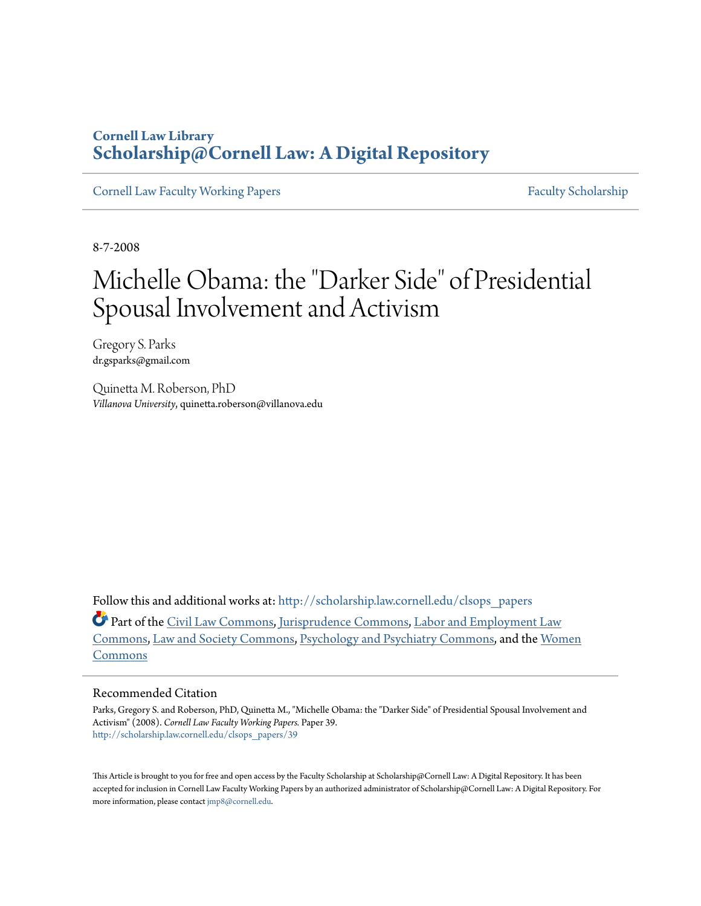## **Cornell Law Library [Scholarship@Cornell Law: A Digital Repository](http://scholarship.law.cornell.edu?utm_source=scholarship.law.cornell.edu%2Fclsops_papers%2F39&utm_medium=PDF&utm_campaign=PDFCoverPages)**

[Cornell Law Faculty Working Papers](http://scholarship.law.cornell.edu/clsops_papers?utm_source=scholarship.law.cornell.edu%2Fclsops_papers%2F39&utm_medium=PDF&utm_campaign=PDFCoverPages) [Faculty Scholarship](http://scholarship.law.cornell.edu/facsch?utm_source=scholarship.law.cornell.edu%2Fclsops_papers%2F39&utm_medium=PDF&utm_campaign=PDFCoverPages)

8-7-2008

# Michelle Obama: the "Darker Side" of Presidential Spousal Involvement and Activism

Gregory S. Parks dr.gsparks@gmail.com

Quinetta M. Roberson, PhD *Villanova University*, quinetta.roberson@villanova.edu

Follow this and additional works at: [http://scholarship.law.cornell.edu/clsops\\_papers](http://scholarship.law.cornell.edu/clsops_papers?utm_source=scholarship.law.cornell.edu%2Fclsops_papers%2F39&utm_medium=PDF&utm_campaign=PDFCoverPages)

Part of the [Civil Law Commons](http://network.bepress.com/hgg/discipline/835?utm_source=scholarship.law.cornell.edu%2Fclsops_papers%2F39&utm_medium=PDF&utm_campaign=PDFCoverPages), [Jurisprudence Commons,](http://network.bepress.com/hgg/discipline/610?utm_source=scholarship.law.cornell.edu%2Fclsops_papers%2F39&utm_medium=PDF&utm_campaign=PDFCoverPages) [Labor and Employment Law](http://network.bepress.com/hgg/discipline/909?utm_source=scholarship.law.cornell.edu%2Fclsops_papers%2F39&utm_medium=PDF&utm_campaign=PDFCoverPages) [Commons,](http://network.bepress.com/hgg/discipline/909?utm_source=scholarship.law.cornell.edu%2Fclsops_papers%2F39&utm_medium=PDF&utm_campaign=PDFCoverPages) [Law and Society Commons](http://network.bepress.com/hgg/discipline/853?utm_source=scholarship.law.cornell.edu%2Fclsops_papers%2F39&utm_medium=PDF&utm_campaign=PDFCoverPages), [Psychology and Psychiatry Commons,](http://network.bepress.com/hgg/discipline/870?utm_source=scholarship.law.cornell.edu%2Fclsops_papers%2F39&utm_medium=PDF&utm_campaign=PDFCoverPages) and the [Women](http://network.bepress.com/hgg/discipline/888?utm_source=scholarship.law.cornell.edu%2Fclsops_papers%2F39&utm_medium=PDF&utm_campaign=PDFCoverPages) [Commons](http://network.bepress.com/hgg/discipline/888?utm_source=scholarship.law.cornell.edu%2Fclsops_papers%2F39&utm_medium=PDF&utm_campaign=PDFCoverPages)

#### Recommended Citation

Parks, Gregory S. and Roberson, PhD, Quinetta M., "Michelle Obama: the "Darker Side" of Presidential Spousal Involvement and Activism" (2008). *Cornell Law Faculty Working Papers.* Paper 39. [http://scholarship.law.cornell.edu/clsops\\_papers/39](http://scholarship.law.cornell.edu/clsops_papers/39?utm_source=scholarship.law.cornell.edu%2Fclsops_papers%2F39&utm_medium=PDF&utm_campaign=PDFCoverPages)

This Article is brought to you for free and open access by the Faculty Scholarship at Scholarship@Cornell Law: A Digital Repository. It has been accepted for inclusion in Cornell Law Faculty Working Papers by an authorized administrator of Scholarship@Cornell Law: A Digital Repository. For more information, please contact [jmp8@cornell.edu.](mailto:jmp8@cornell.edu)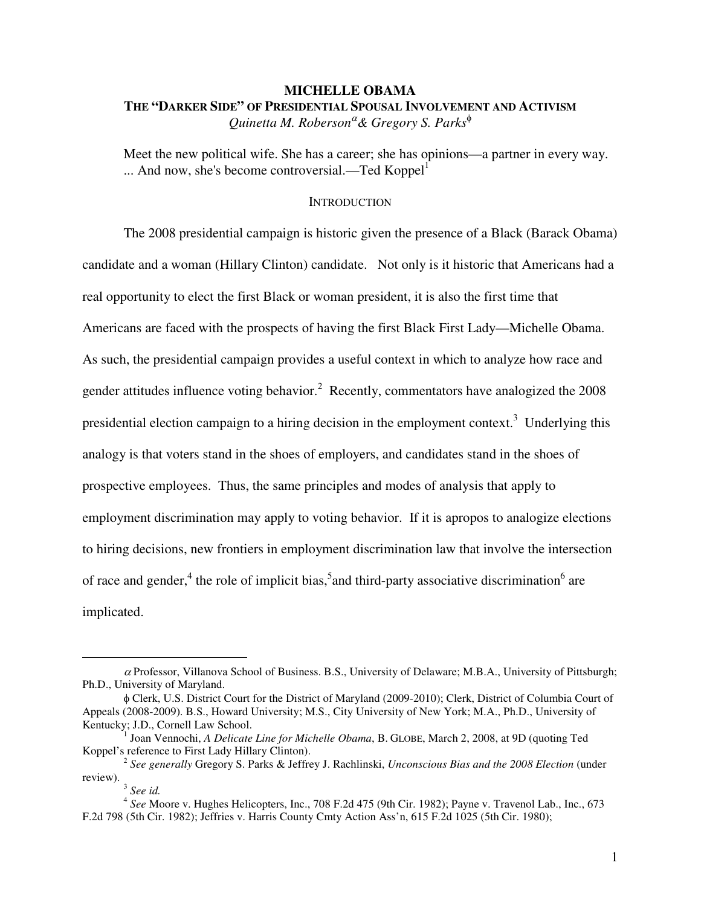## **MICHELLE OBAMA THE "DARKER SIDE" OF PRESIDENTIAL SPOUSAL INVOLVEMENT AND ACTIVISM** *Quinetta M. Roberson***<sup>α</sup> & Gregory S. Parks<sup>** $φ$ **</sup>**

Meet the new political wife. She has a career; she has opinions—a partner in every way.  $\dots$  And now, she's become controversial.—Ted Koppel $<sup>1</sup>$ </sup>

## **INTRODUCTION**

The 2008 presidential campaign is historic given the presence of a Black (Barack Obama) candidate and a woman (Hillary Clinton) candidate. Not only is it historic that Americans had a real opportunity to elect the first Black or woman president, it is also the first time that Americans are faced with the prospects of having the first Black First Lady—Michelle Obama. As such, the presidential campaign provides a useful context in which to analyze how race and gender attitudes influence voting behavior.<sup>2</sup> Recently, commentators have analogized the  $2008$ presidential election campaign to a hiring decision in the employment context.<sup>3</sup> Underlying this analogy is that voters stand in the shoes of employers, and candidates stand in the shoes of prospective employees. Thus, the same principles and modes of analysis that apply to employment discrimination may apply to voting behavior. If it is apropos to analogize elections to hiring decisions, new frontiers in employment discrimination law that involve the intersection of race and gender,<sup>4</sup> the role of implicit bias,<sup>5</sup> and third-party associative discrimination<sup>6</sup> are implicated.

 $\alpha$  Professor, Villanova School of Business. B.S., University of Delaware; M.B.A., University of Pittsburgh; Ph.D., University of Maryland.

φ Clerk, U.S. District Court for the District of Maryland (2009-2010); Clerk, District of Columbia Court of Appeals (2008-2009). B.S., Howard University; M.S., City University of New York; M.A., Ph.D., University of Kentucky; J.D., Cornell Law School.

<sup>1</sup> Joan Vennochi, *A Delicate Line for Michelle Obama*, B. GLOBE, March 2, 2008, at 9D (quoting Ted Koppel's reference to First Lady Hillary Clinton).

<sup>2</sup> *See generally* Gregory S. Parks & Jeffrey J. Rachlinski, *Unconscious Bias and the 2008 Election* (under review). 3 *See id.*

<sup>4</sup> *See* Moore v. Hughes Helicopters, Inc., 708 F.2d 475 (9th Cir. 1982); Payne v. Travenol Lab., Inc., 673 F.2d 798 (5th Cir. 1982); Jeffries v. Harris County Cmty Action Ass'n, 615 F.2d 1025 (5th Cir. 1980);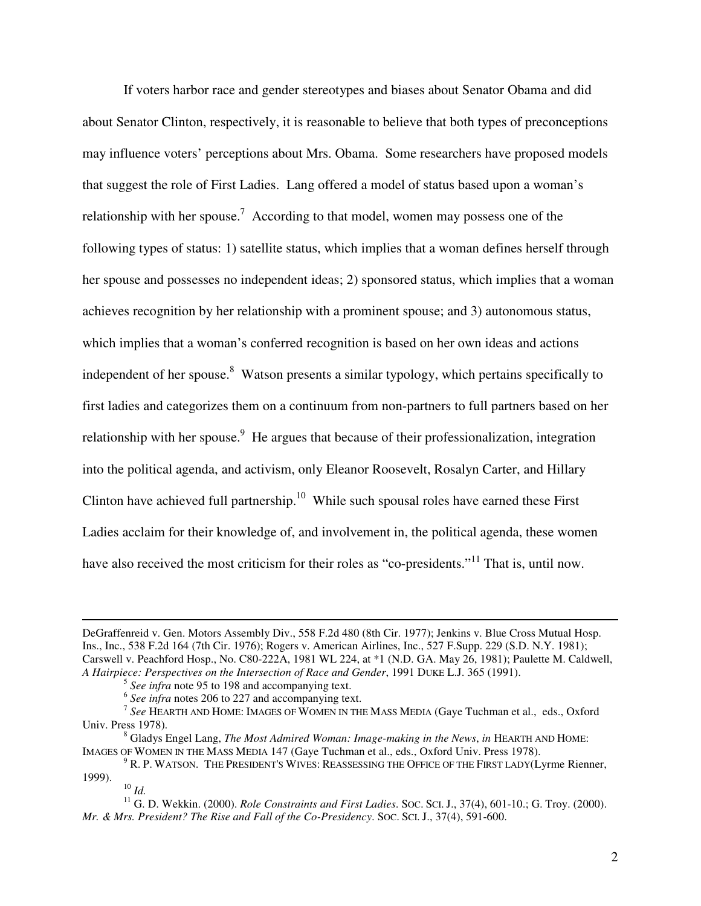If voters harbor race and gender stereotypes and biases about Senator Obama and did about Senator Clinton, respectively, it is reasonable to believe that both types of preconceptions may influence voters' perceptions about Mrs. Obama. Some researchers have proposed models that suggest the role of First Ladies. Lang offered a model of status based upon a woman's relationship with her spouse.<sup>7</sup> According to that model, women may possess one of the following types of status: 1) satellite status, which implies that a woman defines herself through her spouse and possesses no independent ideas; 2) sponsored status, which implies that a woman achieves recognition by her relationship with a prominent spouse; and 3) autonomous status, which implies that a woman's conferred recognition is based on her own ideas and actions independent of her spouse.<sup>8</sup> Watson presents a similar typology, which pertains specifically to first ladies and categorizes them on a continuum from non-partners to full partners based on her relationship with her spouse.<sup>9</sup> He argues that because of their professionalization, integration into the political agenda, and activism, only Eleanor Roosevelt, Rosalyn Carter, and Hillary Clinton have achieved full partnership.<sup>10</sup> While such spousal roles have earned these First Ladies acclaim for their knowledge of, and involvement in, the political agenda, these women have also received the most criticism for their roles as "co-presidents."<sup>11</sup> That is, until now.

DeGraffenreid v. Gen. Motors Assembly Div., 558 F.2d 480 (8th Cir. 1977); Jenkins v. Blue Cross Mutual Hosp. Ins., Inc., 538 F.2d 164 (7th Cir. 1976); Rogers v. American Airlines, Inc., 527 F.Supp. 229 (S.D. N.Y. 1981); Carswell v. Peachford Hosp., No. C80-222A, 1981 WL 224, at \*1 (N.D. GA. May 26, 1981); Paulette M. Caldwell, *A Hairpiece: Perspectives on the Intersection of Race and Gender*, 1991 DUKE L.J. 365 (1991).

<sup>5</sup> *See infra* note 95 to 198 and accompanying text.

<sup>6</sup> *See infra* notes 206 to 227 and accompanying text.

<sup>7</sup> *See* HEARTH AND HOME: IMAGES OF WOMEN IN THE MASS MEDIA (Gaye Tuchman et al., eds., Oxford Univ. Press 1978).

<sup>8</sup> Gladys Engel Lang, *The Most Admired Woman: Image-making in the News*, *in* HEARTH AND HOME: IMAGES OF WOMEN IN THE MASS MEDIA 147 (Gaye Tuchman et al., eds., Oxford Univ. Press 1978).

<sup>&</sup>lt;sup>9</sup> R. P. WATSON. THE PRESIDENT'S WIVES: REASSESSING THE OFFICE OF THE FIRST LADY(Lyrme Rienner, 1999).

<sup>10</sup> *Id.*

<sup>&</sup>lt;sup>11</sup> G. D. Wekkin. (2000). *Role Constraints and First Ladies*. Soc. Sci. J., 37(4), 601-10.; G. Troy. (2000). *Mr. & Mrs. President? The Rise and Fall of the Co-Presidency*. SOC. SCI. J., 37(4), 591-600.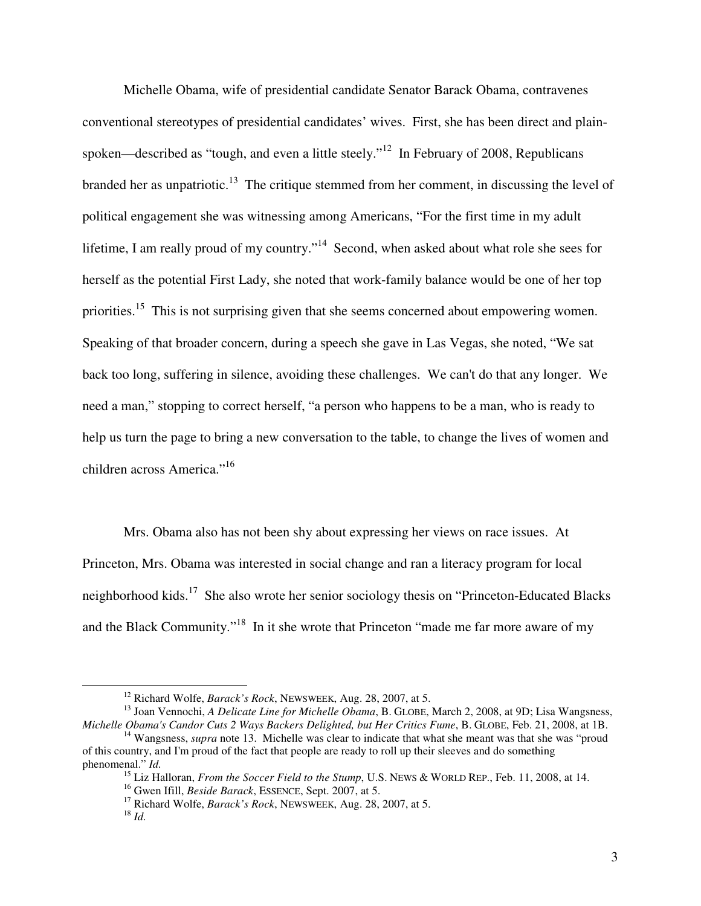Michelle Obama, wife of presidential candidate Senator Barack Obama, contravenes conventional stereotypes of presidential candidates' wives. First, she has been direct and plainspoken—described as "tough, and even a little steely."<sup>12</sup> In February of 2008, Republicans branded her as unpatriotic.<sup>13</sup> The critique stemmed from her comment, in discussing the level of political engagement she was witnessing among Americans, "For the first time in my adult lifetime, I am really proud of my country."<sup>14</sup> Second, when asked about what role she sees for herself as the potential First Lady, she noted that work-family balance would be one of her top priorities.<sup>15</sup> This is not surprising given that she seems concerned about empowering women. Speaking of that broader concern, during a speech she gave in Las Vegas, she noted, "We sat back too long, suffering in silence, avoiding these challenges. We can't do that any longer. We need a man," stopping to correct herself, "a person who happens to be a man, who is ready to help us turn the page to bring a new conversation to the table, to change the lives of women and children across America."<sup>16</sup>

Mrs. Obama also has not been shy about expressing her views on race issues. At Princeton, Mrs. Obama was interested in social change and ran a literacy program for local neighborhood kids.<sup>17</sup> She also wrote her senior sociology thesis on "Princeton-Educated Blacks" and the Black Community."<sup>18</sup> In it she wrote that Princeton "made me far more aware of my

<sup>12</sup> Richard Wolfe, *Barack's Rock*, NEWSWEEK, Aug. 28, 2007, at 5.

<sup>13</sup> Joan Vennochi, *A Delicate Line for Michelle Obama*, B. GLOBE, March 2, 2008, at 9D; Lisa Wangsness, *Michelle Obama's Candor Cuts 2 Ways Backers Delighted, but Her Critics Fume*, B. GLOBE, Feb. 21, 2008, at 1B.

<sup>&</sup>lt;sup>14</sup> Wangsness, *supra* note 13. Michelle was clear to indicate that what she meant was that she was "proud" of this country, and I'm proud of the fact that people are ready to roll up their sleeves and do something phenomenal." *Id.*

<sup>15</sup> Liz Halloran, *From the Soccer Field to the Stump*, U.S. NEWS & WORLD REP., Feb. 11, 2008, at 14.

<sup>16</sup> Gwen Ifill, *Beside Barack*, ESSENCE, Sept. 2007, at 5.

<sup>17</sup> Richard Wolfe, *Barack's Rock*, NEWSWEEK, Aug. 28, 2007, at 5.

<sup>18</sup> *Id.*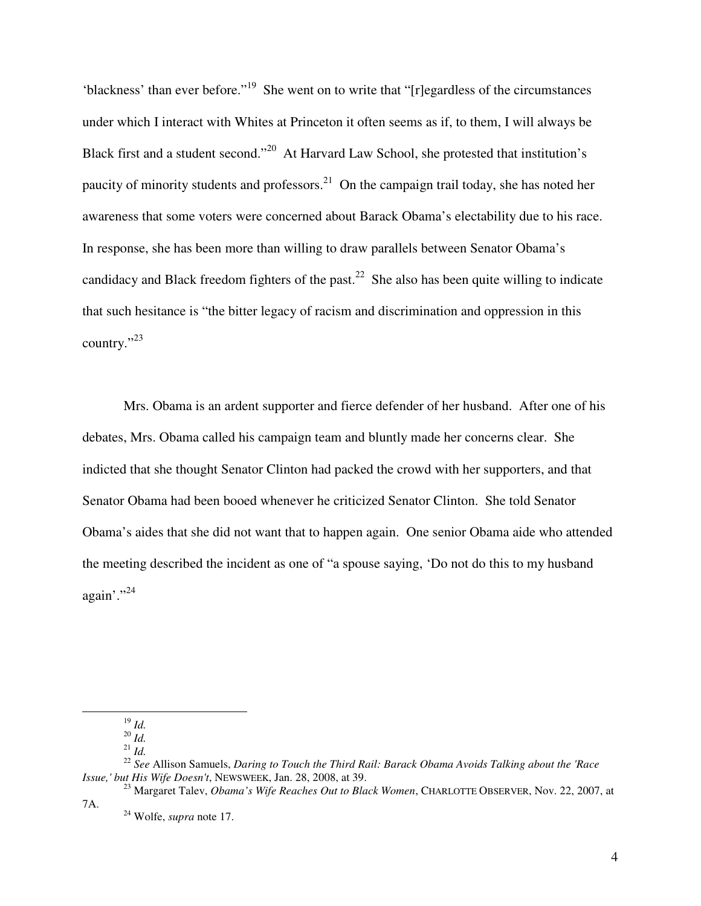'blackness' than ever before."<sup>19</sup> She went on to write that "[r]egardless of the circumstances under which I interact with Whites at Princeton it often seems as if, to them, I will always be Black first and a student second."<sup>20</sup> At Harvard Law School, she protested that institution's paucity of minority students and professors.<sup>21</sup> On the campaign trail today, she has noted her awareness that some voters were concerned about Barack Obama's electability due to his race. In response, she has been more than willing to draw parallels between Senator Obama's candidacy and Black freedom fighters of the past.<sup>22</sup> She also has been quite willing to indicate that such hesitance is "the bitter legacy of racism and discrimination and oppression in this country."<sup>23</sup>

Mrs. Obama is an ardent supporter and fierce defender of her husband. After one of his debates, Mrs. Obama called his campaign team and bluntly made her concerns clear. She indicted that she thought Senator Clinton had packed the crowd with her supporters, and that Senator Obama had been booed whenever he criticized Senator Clinton. She told Senator Obama's aides that she did not want that to happen again. One senior Obama aide who attended the meeting described the incident as one of "a spouse saying, 'Do not do this to my husband again'."<sup>24</sup>

 $^{19}$  *Id.* 

<sup>20</sup> *Id.*

<sup>21</sup> *Id.*

<sup>22</sup> *See* Allison Samuels, *Daring to Touch the Third Rail: Barack Obama Avoids Talking about the 'Race Issue,' but His Wife Doesn't*, NEWSWEEK, Jan. 28, 2008, at 39.

<sup>23</sup> Margaret Talev, *Obama's Wife Reaches Out to Black Women*, CHARLOTTE OBSERVER, Nov. 22, 2007, at 7A.

<sup>24</sup> Wolfe, *supra* note 17.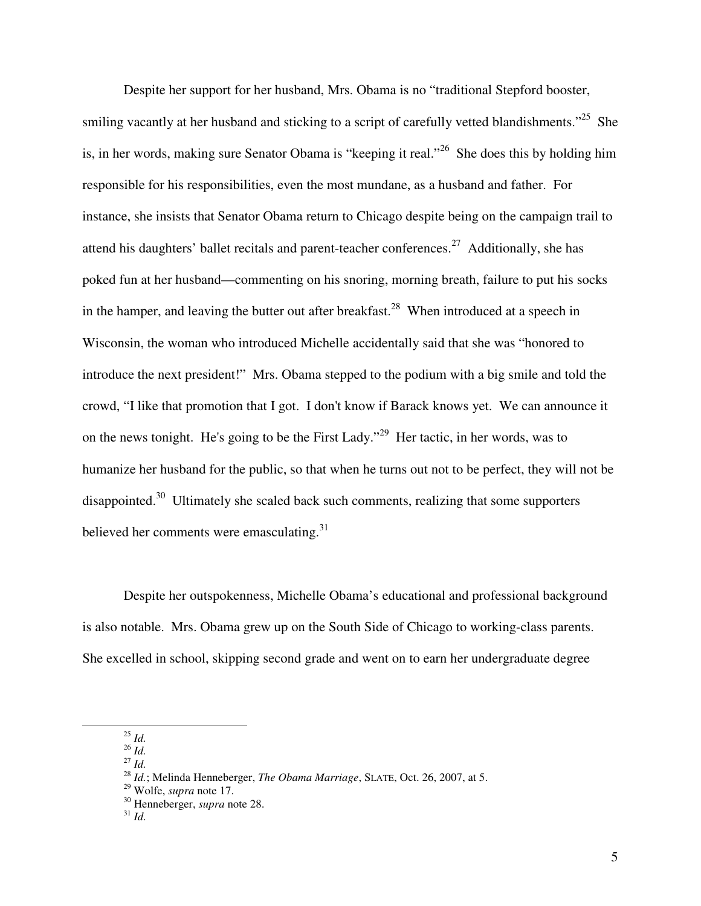Despite her support for her husband, Mrs. Obama is no "traditional Stepford booster, smiling vacantly at her husband and sticking to a script of carefully vetted blandishments."<sup>25</sup> She is, in her words, making sure Senator Obama is "keeping it real."<sup>26</sup> She does this by holding him responsible for his responsibilities, even the most mundane, as a husband and father. For instance, she insists that Senator Obama return to Chicago despite being on the campaign trail to attend his daughters' ballet recitals and parent-teacher conferences.<sup>27</sup> Additionally, she has poked fun at her husband—commenting on his snoring, morning breath, failure to put his socks in the hamper, and leaving the butter out after breakfast.<sup>28</sup> When introduced at a speech in Wisconsin, the woman who introduced Michelle accidentally said that she was "honored to introduce the next president!" Mrs. Obama stepped to the podium with a big smile and told the crowd, "I like that promotion that I got. I don't know if Barack knows yet. We can announce it on the news tonight. He's going to be the First Lady."<sup>29</sup> Her tactic, in her words, was to humanize her husband for the public, so that when he turns out not to be perfect, they will not be disappointed.<sup>30</sup> Ultimately she scaled back such comments, realizing that some supporters believed her comments were emasculating.<sup>31</sup>

Despite her outspokenness, Michelle Obama's educational and professional background is also notable. Mrs. Obama grew up on the South Side of Chicago to working-class parents. She excelled in school, skipping second grade and went on to earn her undergraduate degree

<sup>25</sup> *Id.*

 $\overline{a}$ 

 $^{26}$  *Id.* <sup>27</sup> *Id.* 

<sup>29</sup> Wolfe, *supra* note 17.

## <sup>31</sup> *Id.*

<sup>28</sup> *Id.*; Melinda Henneberger, *The Obama Marriage*, SLATE, Oct. 26, 2007, at 5.

<sup>30</sup> Henneberger, *supra* note 28.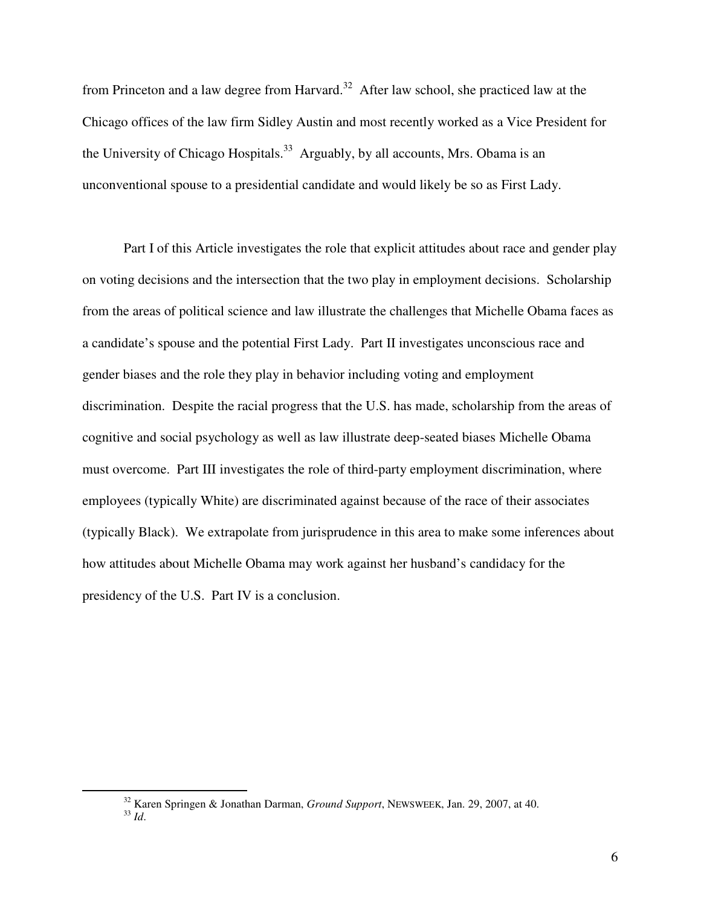from Princeton and a law degree from Harvard.<sup>32</sup> After law school, she practiced law at the Chicago offices of the law firm Sidley Austin and most recently worked as a Vice President for the University of Chicago Hospitals.<sup>33</sup> Arguably, by all accounts, Mrs. Obama is an unconventional spouse to a presidential candidate and would likely be so as First Lady.

Part I of this Article investigates the role that explicit attitudes about race and gender play on voting decisions and the intersection that the two play in employment decisions. Scholarship from the areas of political science and law illustrate the challenges that Michelle Obama faces as a candidate's spouse and the potential First Lady. Part II investigates unconscious race and gender biases and the role they play in behavior including voting and employment discrimination. Despite the racial progress that the U.S. has made, scholarship from the areas of cognitive and social psychology as well as law illustrate deep-seated biases Michelle Obama must overcome. Part III investigates the role of third-party employment discrimination, where employees (typically White) are discriminated against because of the race of their associates (typically Black). We extrapolate from jurisprudence in this area to make some inferences about how attitudes about Michelle Obama may work against her husband's candidacy for the presidency of the U.S. Part IV is a conclusion.

<sup>32</sup> Karen Springen & Jonathan Darman, *Ground Support*, NEWSWEEK, Jan. 29, 2007, at 40. <sup>33</sup> *Id*.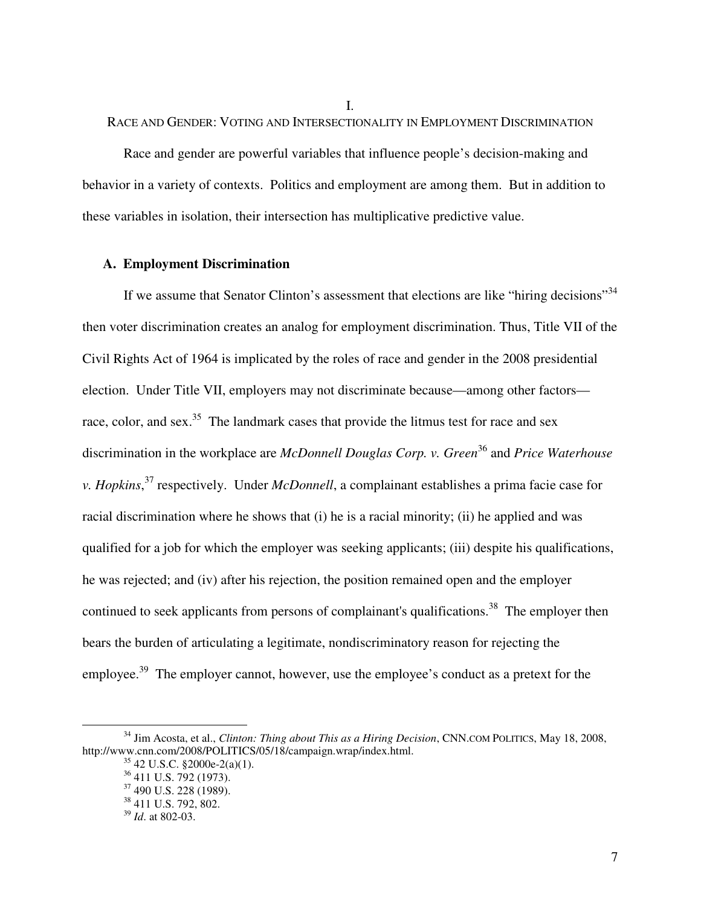I.

RACE AND GENDER: VOTING AND INTERSECTIONALITY IN EMPLOYMENT DISCRIMINATION

Race and gender are powerful variables that influence people's decision-making and behavior in a variety of contexts. Politics and employment are among them. But in addition to these variables in isolation, their intersection has multiplicative predictive value.

## **A. Employment Discrimination**

If we assume that Senator Clinton's assessment that elections are like "hiring decisions"<sup>34</sup> then voter discrimination creates an analog for employment discrimination. Thus, Title VII of the Civil Rights Act of 1964 is implicated by the roles of race and gender in the 2008 presidential election. Under Title VII, employers may not discriminate because—among other factors race, color, and sex.<sup>35</sup> The landmark cases that provide the litmus test for race and sex discrimination in the workplace are *McDonnell Douglas Corp. v. Green*<sup>36</sup> and *Price Waterhouse v. Hopkins*, <sup>37</sup> respectively. Under *McDonnell*, a complainant establishes a prima facie case for racial discrimination where he shows that (i) he is a racial minority; (ii) he applied and was qualified for a job for which the employer was seeking applicants; (iii) despite his qualifications, he was rejected; and (iv) after his rejection, the position remained open and the employer continued to seek applicants from persons of complainant's qualifications.<sup>38</sup> The employer then bears the burden of articulating a legitimate, nondiscriminatory reason for rejecting the employee.<sup>39</sup> The employer cannot, however, use the employee's conduct as a pretext for the

<sup>34</sup> Jim Acosta, et al., *Clinton: Thing about This as a Hiring Decision*, CNN.COM POLITICS, May 18, 2008, http://www.cnn.com/2008/POLITICS/05/18/campaign.wrap/index.html.

 $35$  42 U.S.C. §2000e-2(a)(1).

<sup>&</sup>lt;sup>36</sup> 411 U.S. 792 (1973).

<sup>&</sup>lt;sup>37</sup> 490 U.S. 228 (1989).

<sup>38</sup> 411 U.S. 792, 802.

<sup>39</sup> *Id*. at 802-03.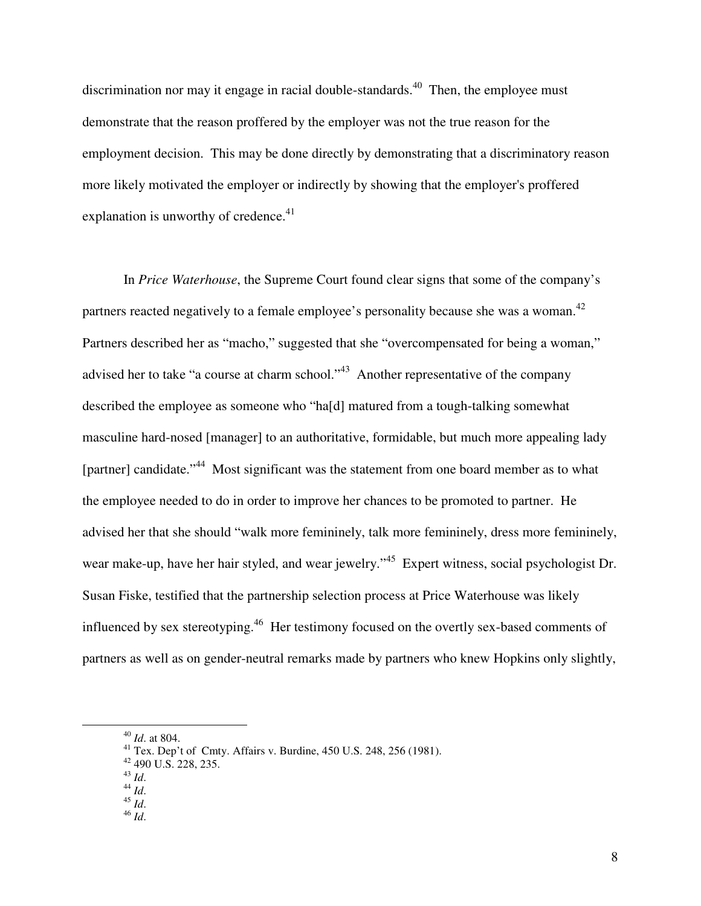discrimination nor may it engage in racial double-standards.<sup>40</sup> Then, the employee must demonstrate that the reason proffered by the employer was not the true reason for the employment decision. This may be done directly by demonstrating that a discriminatory reason more likely motivated the employer or indirectly by showing that the employer's proffered explanation is unworthy of credence. $41$ 

In *Price Waterhouse*, the Supreme Court found clear signs that some of the company's partners reacted negatively to a female employee's personality because she was a woman. $^{42}$ Partners described her as "macho," suggested that she "overcompensated for being a woman," advised her to take "a course at charm school."<sup>43</sup> Another representative of the company described the employee as someone who "ha[d] matured from a tough-talking somewhat masculine hard-nosed [manager] to an authoritative, formidable, but much more appealing lady [partner] candidate."<sup>44</sup> Most significant was the statement from one board member as to what the employee needed to do in order to improve her chances to be promoted to partner. He advised her that she should "walk more femininely, talk more femininely, dress more femininely, wear make-up, have her hair styled, and wear jewelry."<sup>45</sup> Expert witness, social psychologist Dr. Susan Fiske, testified that the partnership selection process at Price Waterhouse was likely influenced by sex stereotyping.<sup>46</sup> Her testimony focused on the overtly sex-based comments of partners as well as on gender-neutral remarks made by partners who knew Hopkins only slightly,

- <sup>45</sup> *Id*.
- <sup>46</sup> *Id*.

<sup>40</sup> *Id*. at 804.

<sup>&</sup>lt;sup>41</sup> Tex. Dep't of Cmty. Affairs v. Burdine,  $450$  U.S. 248, 256 (1981).

 $42$  490 U.S. 228, 235.

<sup>43</sup> *Id*.

<sup>44</sup> *Id*.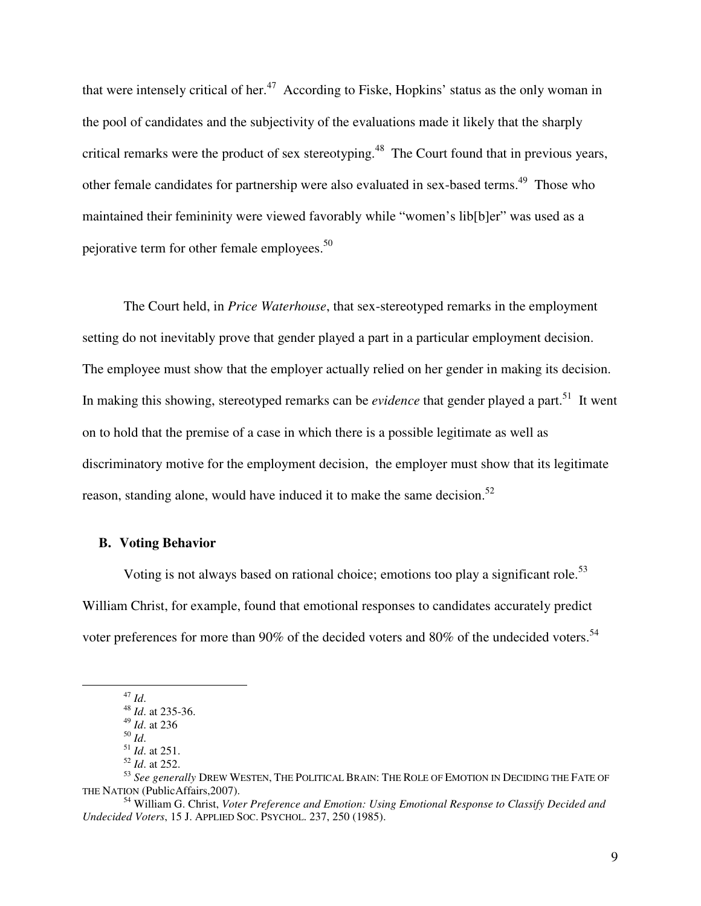that were intensely critical of her.<sup>47</sup> According to Fiske, Hopkins' status as the only woman in the pool of candidates and the subjectivity of the evaluations made it likely that the sharply critical remarks were the product of sex stereotyping.<sup>48</sup> The Court found that in previous years, other female candidates for partnership were also evaluated in sex-based terms.<sup>49</sup> Those who maintained their femininity were viewed favorably while "women's lib[b]er" was used as a pejorative term for other female employees.<sup>50</sup>

The Court held, in *Price Waterhouse*, that sex-stereotyped remarks in the employment setting do not inevitably prove that gender played a part in a particular employment decision. The employee must show that the employer actually relied on her gender in making its decision. In making this showing, stereotyped remarks can be *evidence* that gender played a part.<sup>51</sup> It went on to hold that the premise of a case in which there is a possible legitimate as well as discriminatory motive for the employment decision, the employer must show that its legitimate reason, standing alone, would have induced it to make the same decision.<sup>52</sup>

### **B. Voting Behavior**

Voting is not always based on rational choice; emotions too play a significant role.<sup>53</sup> William Christ, for example, found that emotional responses to candidates accurately predict voter preferences for more than 90% of the decided voters and 80% of the undecided voters.<sup>54</sup>

<sup>47</sup> *Id*.

<sup>48</sup> *Id*. at 235-36.

<sup>49</sup> *Id*. at 236 <sup>50</sup> *Id*.

<sup>51</sup> *Id*. at 251.

<sup>52</sup> *Id*. at 252.

<sup>53</sup> *See generally* DREW WESTEN, THE POLITICAL BRAIN: THE ROLE OF EMOTION IN DECIDING THE FATE OF THE NATION (PublicAffairs,2007).

<sup>54</sup> William G. Christ, *Voter Preference and Emotion: Using Emotional Response to Classify Decided and Undecided Voters*, 15 J. APPLIED SOC. PSYCHOL. 237, 250 (1985).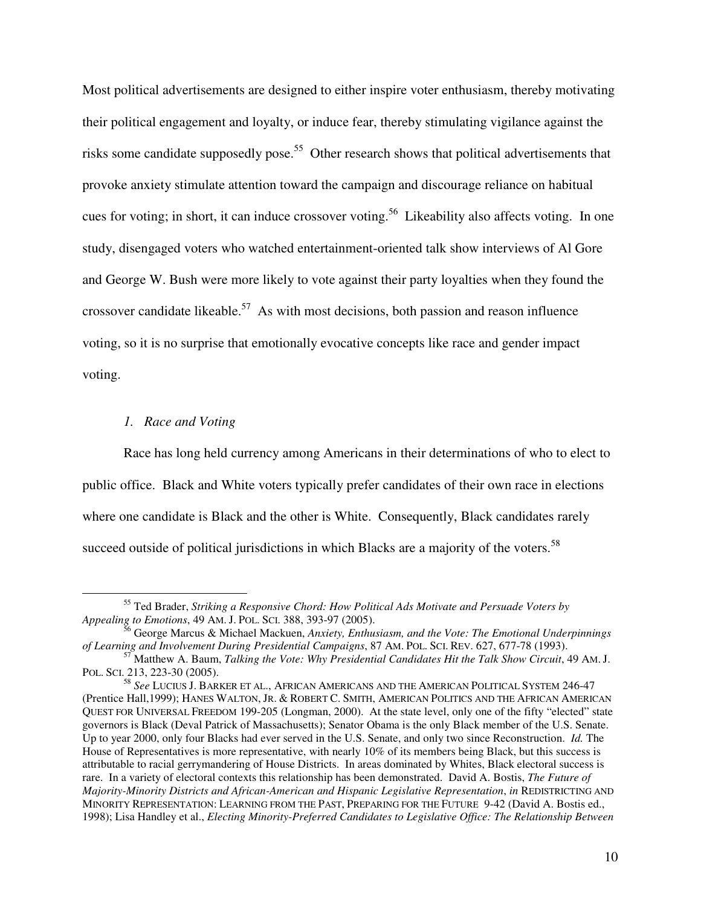Most political advertisements are designed to either inspire voter enthusiasm, thereby motivating their political engagement and loyalty, or induce fear, thereby stimulating vigilance against the risks some candidate supposedly pose.<sup>55</sup> Other research shows that political advertisements that provoke anxiety stimulate attention toward the campaign and discourage reliance on habitual cues for voting; in short, it can induce crossover voting.<sup>56</sup> Likeability also affects voting. In one study, disengaged voters who watched entertainment-oriented talk show interviews of Al Gore and George W. Bush were more likely to vote against their party loyalties when they found the crossover candidate likeable.<sup>57</sup> As with most decisions, both passion and reason influence voting, so it is no surprise that emotionally evocative concepts like race and gender impact voting.

## *1. Race and Voting*

 $\overline{a}$ 

Race has long held currency among Americans in their determinations of who to elect to public office. Black and White voters typically prefer candidates of their own race in elections where one candidate is Black and the other is White. Consequently, Black candidates rarely succeed outside of political jurisdictions in which Blacks are a majority of the voters. $58$ 

<sup>55</sup> Ted Brader, *Striking a Responsive Chord: How Political Ads Motivate and Persuade Voters by Appealing to Emotions*, 49 AM. J. POL. SCI. 388, 393-97 (2005).

<sup>56</sup> George Marcus & Michael Mackuen, *Anxiety, Enthusiasm, and the Vote: The Emotional Underpinnings of Learning and Involvement During Presidential Campaigns*, 87 AM. POL. SCI. REV. 627, 677-78 (1993).

<sup>57</sup> Matthew A. Baum, *Talking the Vote: Why Presidential Candidates Hit the Talk Show Circuit*, 49 AM. J. POL. SCI. 213, 223-30 (2005).

<sup>58</sup> *See* LUCIUS J. BARKER ET AL., AFRICAN AMERICANS AND THE AMERICAN POLITICAL SYSTEM 246-47 (Prentice Hall,1999); HANES WALTON, JR. & ROBERT C. SMITH, AMERICAN POLITICS AND THE AFRICAN AMERICAN QUEST FOR UNIVERSAL FREEDOM 199-205 (Longman, 2000). At the state level, only one of the fifty "elected" state governors is Black (Deval Patrick of Massachusetts); Senator Obama is the only Black member of the U.S. Senate. Up to year 2000, only four Blacks had ever served in the U.S. Senate, and only two since Reconstruction. *Id.* The House of Representatives is more representative, with nearly 10% of its members being Black, but this success is attributable to racial gerrymandering of House Districts. In areas dominated by Whites, Black electoral success is rare. In a variety of electoral contexts this relationship has been demonstrated. David A. Bostis, *The Future of Majority-Minority Districts and African-American and Hispanic Legislative Representation*, *in* REDISTRICTING AND MINORITY REPRESENTATION: LEARNING FROM THE PAST, PREPARING FOR THE FUTURE 9-42 (David A. Bostis ed., 1998); Lisa Handley et al., *Electing Minority-Preferred Candidates to Legislative Office: The Relationship Between*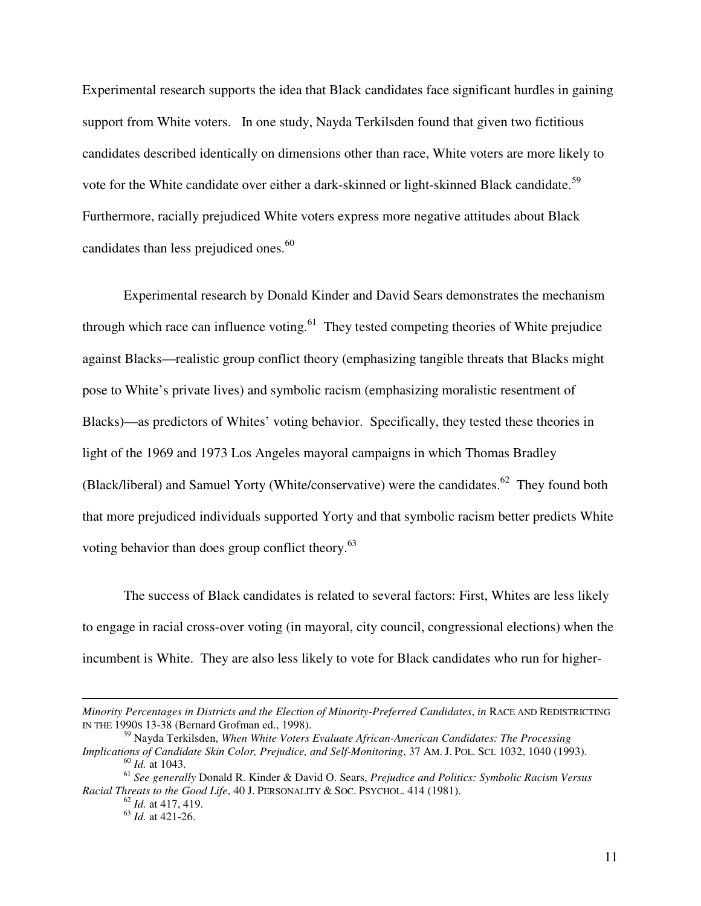Experimental research supports the idea that Black candidates face significant hurdles in gaining support from White voters. In one study, Nayda Terkilsden found that given two fictitious candidates described identically on dimensions other than race, White voters are more likely to vote for the White candidate over either a dark-skinned or light-skinned Black candidate.<sup>59</sup> Furthermore, racially prejudiced White voters express more negative attitudes about Black candidates than less prejudiced ones.<sup>60</sup>

Experimental research by Donald Kinder and David Sears demonstrates the mechanism through which race can influence voting.<sup>61</sup> They tested competing theories of White prejudice against Blacks—realistic group conflict theory (emphasizing tangible threats that Blacks might pose to White's private lives) and symbolic racism (emphasizing moralistic resentment of Blacks)—as predictors of Whites' voting behavior. Specifically, they tested these theories in light of the 1969 and 1973 Los Angeles mayoral campaigns in which Thomas Bradley (Black/liberal) and Samuel Yorty (White/conservative) were the candidates.<sup>62</sup> They found both that more prejudiced individuals supported Yorty and that symbolic racism better predicts White voting behavior than does group conflict theory.<sup>63</sup>

The success of Black candidates is related to several factors: First, Whites are less likely to engage in racial cross-over voting (in mayoral, city council, congressional elections) when the incumbent is White. They are also less likely to vote for Black candidates who run for higher-

*Minority Percentages in Districts and the Election of Minority-Preferred Candidates*, *in* RACE AND REDISTRICTING IN THE 1990S 13-38 (Bernard Grofman ed., 1998).

<sup>59</sup> Nayda Terkilsden, *When White Voters Evaluate African-American Candidates: The Processing Implications of Candidate Skin Color, Prejudice, and Self-Monitoring*, 37 AM. J. POL. SCI. 1032, 1040 (1993). <sup>60</sup> *Id.* at 1043.

<sup>61</sup> *See generally* Donald R. Kinder & David O. Sears, *Prejudice and Politics: Symbolic Racism Versus Racial Threats to the Good Life*, 40 J. PERSONALITY & SOC. PSYCHOL. 414 (1981).

<sup>62</sup> *Id.* at 417, 419.

<sup>63</sup> *Id.* at 421-26.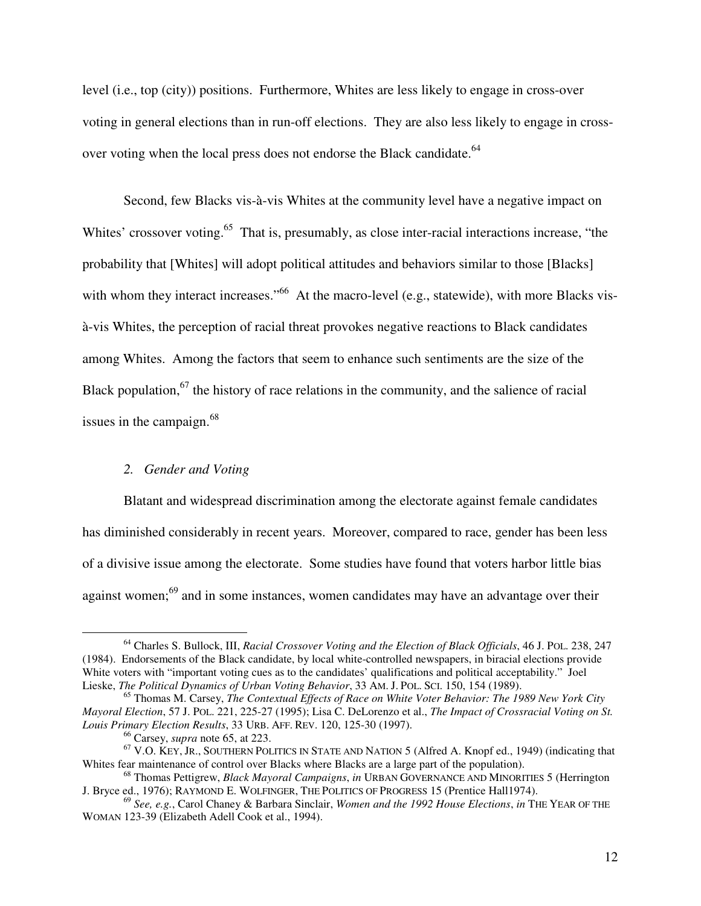level (i.e., top (city)) positions. Furthermore, Whites are less likely to engage in cross-over voting in general elections than in run-off elections. They are also less likely to engage in crossover voting when the local press does not endorse the Black candidate.<sup>64</sup>

 Second, few Blacks vis-à-vis Whites at the community level have a negative impact on Whites' crossover voting.<sup>65</sup> That is, presumably, as close inter-racial interactions increase, "the probability that [Whites] will adopt political attitudes and behaviors similar to those [Blacks] with whom they interact increases."<sup>66</sup> At the macro-level (e.g., statewide), with more Blacks visà-vis Whites, the perception of racial threat provokes negative reactions to Black candidates among Whites. Among the factors that seem to enhance such sentiments are the size of the Black population, $67$  the history of race relations in the community, and the salience of racial issues in the campaign.<sup>68</sup>

### *2. Gender and Voting*

Blatant and widespread discrimination among the electorate against female candidates has diminished considerably in recent years. Moreover, compared to race, gender has been less of a divisive issue among the electorate. Some studies have found that voters harbor little bias against women;<sup>69</sup> and in some instances, women candidates may have an advantage over their

<sup>64</sup> Charles S. Bullock, III, *Racial Crossover Voting and the Election of Black Officials*, 46 J. POL. 238, 247 (1984). Endorsements of the Black candidate, by local white-controlled newspapers, in biracial elections provide White voters with "important voting cues as to the candidates' qualifications and political acceptability." Joel Lieske, *The Political Dynamics of Urban Voting Behavior*, 33 AM. J. POL. SCI. 150, 154 (1989).

<sup>65</sup> Thomas M. Carsey, *The Contextual Effects of Race on White Voter Behavior: The 1989 New York City Mayoral Election*, 57 J. POL. 221, 225-27 (1995); Lisa C. DeLorenzo et al., *The Impact of Crossracial Voting on St. Louis Primary Election Results*, 33 URB. AFF. REV. 120, 125-30 (1997).

<sup>66</sup> Carsey, *supra* note 65, at 223.

 $67$  V.O. KEY, JR., SOUTHERN POLITICS IN STATE AND NATION 5 (Alfred A. Knopf ed., 1949) (indicating that Whites fear maintenance of control over Blacks where Blacks are a large part of the population).

<sup>68</sup> Thomas Pettigrew, *Black Mayoral Campaigns*, *in* URBAN GOVERNANCE AND MINORITIES 5 (Herrington J. Bryce ed., 1976); RAYMOND E. WOLFINGER, THE POLITICS OF PROGRESS 15 (Prentice Hall1974).

<sup>69</sup> *See, e.g.*, Carol Chaney & Barbara Sinclair, *Women and the 1992 House Elections*, *in* THE YEAR OF THE WOMAN 123-39 (Elizabeth Adell Cook et al., 1994).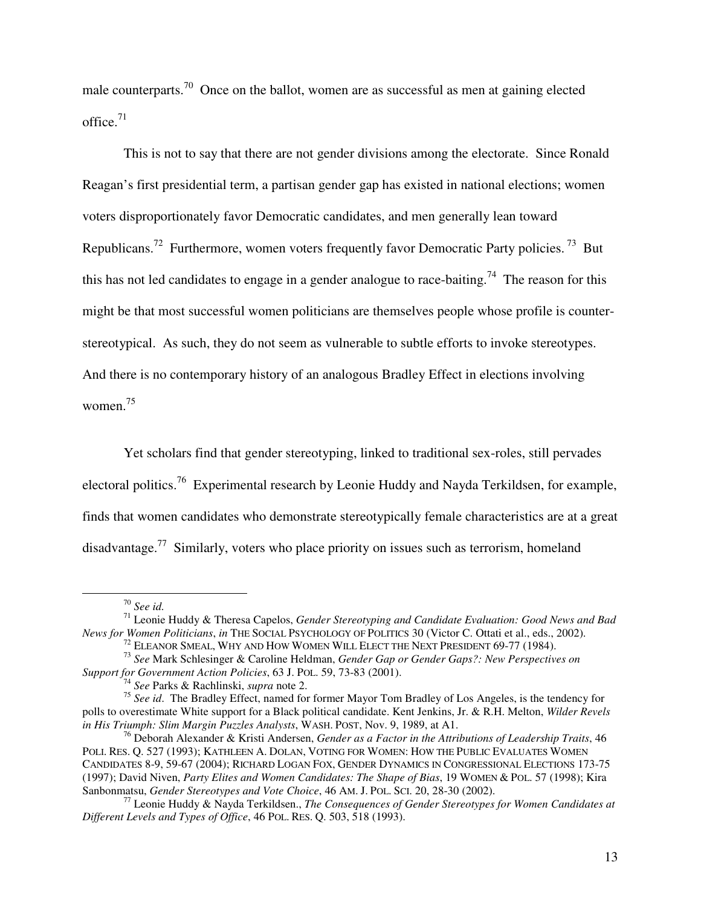male counterparts.<sup>70</sup> Once on the ballot, women are as successful as men at gaining elected office. $71$ 

This is not to say that there are not gender divisions among the electorate. Since Ronald Reagan's first presidential term, a partisan gender gap has existed in national elections; women voters disproportionately favor Democratic candidates, and men generally lean toward Republicans.<sup>72</sup> Furthermore, women voters frequently favor Democratic Party policies.<sup>73</sup> But this has not led candidates to engage in a gender analogue to race-baiting.<sup>74</sup> The reason for this might be that most successful women politicians are themselves people whose profile is counterstereotypical. As such, they do not seem as vulnerable to subtle efforts to invoke stereotypes. And there is no contemporary history of an analogous Bradley Effect in elections involving women.<sup>75</sup>

Yet scholars find that gender stereotyping, linked to traditional sex-roles, still pervades electoral politics.<sup>76</sup> Experimental research by Leonie Huddy and Nayda Terkildsen, for example, finds that women candidates who demonstrate stereotypically female characteristics are at a great disadvantage.<sup>77</sup> Similarly, voters who place priority on issues such as terrorism, homeland

<sup>70</sup> *See id.* 

<sup>71</sup> Leonie Huddy & Theresa Capelos, *Gender Stereotyping and Candidate Evaluation: Good News and Bad News for Women Politicians*, *in* THE SOCIAL PSYCHOLOGY OF POLITICS 30 (Victor C. Ottati et al., eds., 2002).

 $^{72}$  Eleanor Smeal, Why and How Women Will Elect the Next President 69-77 (1984).

<sup>73</sup> *See* Mark Schlesinger & Caroline Heldman, *Gender Gap or Gender Gaps?: New Perspectives on Support for Government Action Policies*, 63 J. POL. 59, 73-83 (2001).

<sup>74</sup> *See* Parks & Rachlinski, *supra* note 2.

<sup>75</sup> *See id*. The Bradley Effect, named for former Mayor Tom Bradley of Los Angeles, is the tendency for polls to overestimate White support for a Black political candidate. Kent Jenkins, Jr. & R.H. Melton, *Wilder Revels in His Triumph: Slim Margin Puzzles Analysts*, WASH. POST, Nov. 9, 1989, at A1.

<sup>76</sup> Deborah Alexander & Kristi Andersen, *Gender as a Factor in the Attributions of Leadership Traits*, 46 POLI. RES. Q. 527 (1993); KATHLEEN A. DOLAN, VOTING FOR WOMEN: HOW THE PUBLIC EVALUATES WOMEN CANDIDATES 8-9, 59-67 (2004); RICHARD LOGAN FOX, GENDER DYNAMICS IN CONGRESSIONAL ELECTIONS 173-75 (1997); David Niven, *Party Elites and Women Candidates: The Shape of Bias*, 19 WOMEN & POL. 57 (1998); Kira Sanbonmatsu, *Gender Stereotypes and Vote Choice*, 46 AM. J. POL. SCI. 20, 28-30 (2002).

<sup>77</sup> Leonie Huddy & Nayda Terkildsen., *The Consequences of Gender Stereotypes for Women Candidates at Different Levels and Types of Office*, 46 POL. RES. Q. 503, 518 (1993).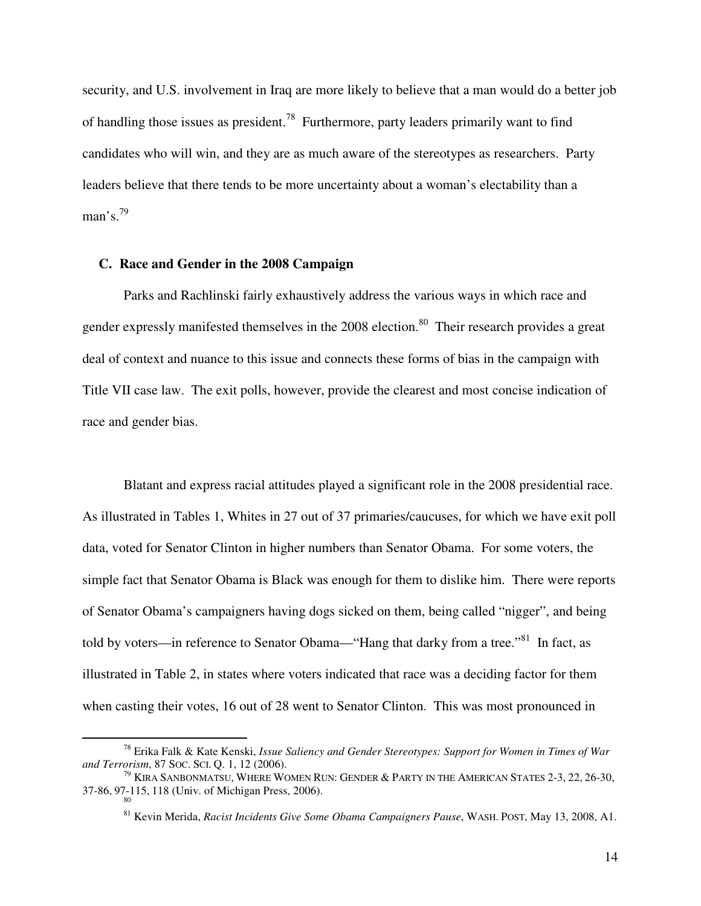security, and U.S. involvement in Iraq are more likely to believe that a man would do a better job of handling those issues as president.<sup>78</sup> Furthermore, party leaders primarily want to find candidates who will win, and they are as much aware of the stereotypes as researchers. Party leaders believe that there tends to be more uncertainty about a woman's electability than a man's. $^{79}$ 

## **C. Race and Gender in the 2008 Campaign**

 $\overline{a}$ 

Parks and Rachlinski fairly exhaustively address the various ways in which race and gender expressly manifested themselves in the 2008 election.<sup>80</sup> Their research provides a great deal of context and nuance to this issue and connects these forms of bias in the campaign with Title VII case law. The exit polls, however, provide the clearest and most concise indication of race and gender bias.

 Blatant and express racial attitudes played a significant role in the 2008 presidential race. As illustrated in Tables 1, Whites in 27 out of 37 primaries/caucuses, for which we have exit poll data, voted for Senator Clinton in higher numbers than Senator Obama. For some voters, the simple fact that Senator Obama is Black was enough for them to dislike him. There were reports of Senator Obama's campaigners having dogs sicked on them, being called "nigger", and being told by voters—in reference to Senator Obama—"Hang that darky from a tree."<sup>81</sup> In fact, as illustrated in Table 2, in states where voters indicated that race was a deciding factor for them when casting their votes, 16 out of 28 went to Senator Clinton. This was most pronounced in

<sup>78</sup> Erika Falk & Kate Kenski, *Issue Saliency and Gender Stereotypes: Support for Women in Times of War and Terrorism*, 87 SOC. SCI. Q. 1, 12 (2006).

 $^{79}$  KIRA SANBONMATSU, WHERE WOMEN RUN: GENDER & PARTY IN THE AMERICAN STATES 2-3, 22, 26-30, 37-86, 97-115, 118 (Univ. of Michigan Press, 2006). 80

<sup>81</sup> Kevin Merida, *Racist Incidents Give Some Obama Campaigners Pause*, WASH. POST, May 13, 2008, A1.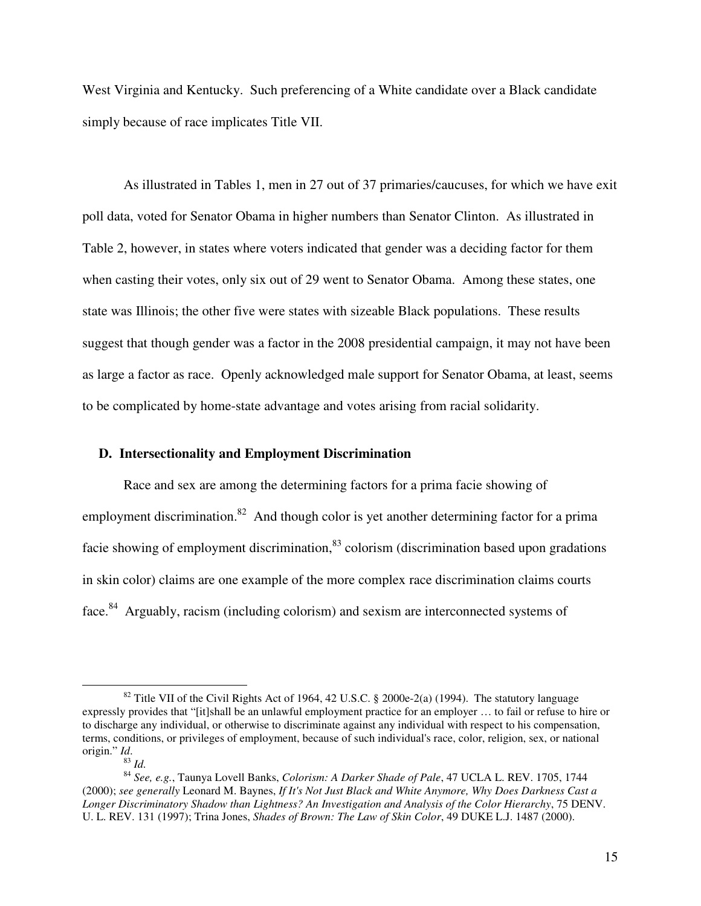West Virginia and Kentucky. Such preferencing of a White candidate over a Black candidate simply because of race implicates Title VII.

As illustrated in Tables 1, men in 27 out of 37 primaries/caucuses, for which we have exit poll data, voted for Senator Obama in higher numbers than Senator Clinton. As illustrated in Table 2, however, in states where voters indicated that gender was a deciding factor for them when casting their votes, only six out of 29 went to Senator Obama. Among these states, one state was Illinois; the other five were states with sizeable Black populations. These results suggest that though gender was a factor in the 2008 presidential campaign, it may not have been as large a factor as race. Openly acknowledged male support for Senator Obama, at least, seems to be complicated by home-state advantage and votes arising from racial solidarity.

## **D. Intersectionality and Employment Discrimination**

Race and sex are among the determining factors for a prima facie showing of employment discrimination.<sup>82</sup> And though color is yet another determining factor for a prima facie showing of employment discrimination, $83$  colorism (discrimination based upon gradations in skin color) claims are one example of the more complex race discrimination claims courts face.<sup>84</sup> Arguably, racism (including colorism) and sexism are interconnected systems of

<sup>&</sup>lt;sup>82</sup> Title VII of the Civil Rights Act of 1964, 42 U.S.C. § 2000e-2(a) (1994). The statutory language expressly provides that "[it]shall be an unlawful employment practice for an employer … to fail or refuse to hire or to discharge any individual, or otherwise to discriminate against any individual with respect to his compensation, terms, conditions, or privileges of employment, because of such individual's race, color, religion, sex, or national origin." *Id*.

 $83$  *Id.* 

<sup>84</sup> *See, e.g.*, Taunya Lovell Banks, *Colorism: A Darker Shade of Pale*, 47 UCLA L. REV. 1705, 1744 (2000); *see generally* Leonard M. Baynes, *If It's Not Just Black and White Anymore, Why Does Darkness Cast a Longer Discriminatory Shadow than Lightness? An Investigation and Analysis of the Color Hierarchy*, 75 DENV. U. L. REV. 131 (1997); Trina Jones, *Shades of Brown: The Law of Skin Color*, 49 DUKE L.J. 1487 (2000).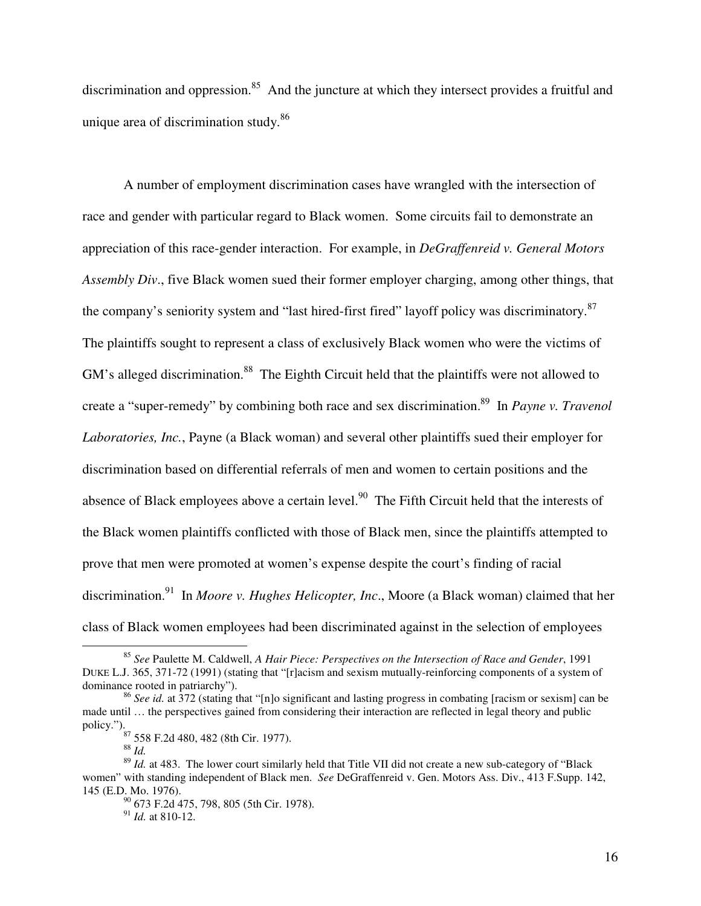discrimination and oppression.<sup>85</sup> And the juncture at which they intersect provides a fruitful and unique area of discrimination study.<sup>86</sup>

A number of employment discrimination cases have wrangled with the intersection of race and gender with particular regard to Black women. Some circuits fail to demonstrate an appreciation of this race-gender interaction. For example, in *DeGraffenreid v. General Motors Assembly Div*., five Black women sued their former employer charging, among other things, that the company's seniority system and "last hired-first fired" layoff policy was discriminatory.<sup>87</sup> The plaintiffs sought to represent a class of exclusively Black women who were the victims of GM's alleged discrimination.<sup>88</sup> The Eighth Circuit held that the plaintiffs were not allowed to create a "super-remedy" by combining both race and sex discrimination.<sup>89</sup> In *Payne v. Travenol Laboratories, Inc.*, Payne (a Black woman) and several other plaintiffs sued their employer for discrimination based on differential referrals of men and women to certain positions and the absence of Black employees above a certain level.<sup>90</sup> The Fifth Circuit held that the interests of the Black women plaintiffs conflicted with those of Black men, since the plaintiffs attempted to prove that men were promoted at women's expense despite the court's finding of racial discrimination.<sup>91</sup> In *Moore v. Hughes Helicopter, Inc.*, Moore (a Black woman) claimed that her class of Black women employees had been discriminated against in the selection of employees

<sup>85</sup> *See* Paulette M. Caldwell, *A Hair Piece: Perspectives on the Intersection of Race and Gender*, 1991 DUKE L.J. 365, 371-72 (1991) (stating that "[r]acism and sexism mutually-reinforcing components of a system of dominance rooted in patriarchy").

<sup>86</sup> *See id.* at 372 (stating that "[n]o significant and lasting progress in combating [racism or sexism] can be made until … the perspectives gained from considering their interaction are reflected in legal theory and public policy.").

<sup>87</sup> 558 F.2d 480, 482 (8th Cir. 1977).

<sup>88</sup> *Id.* 

<sup>89</sup> *Id.* at 483. The lower court similarly held that Title VII did not create a new sub-category of "Black women" with standing independent of Black men. *See* DeGraffenreid v. Gen. Motors Ass. Div., 413 F.Supp. 142, 145 (E.D. Mo. 1976).

<sup>90</sup> 673 F.2d 475, 798, 805 (5th Cir. 1978).

<sup>91</sup> *Id.* at 810-12.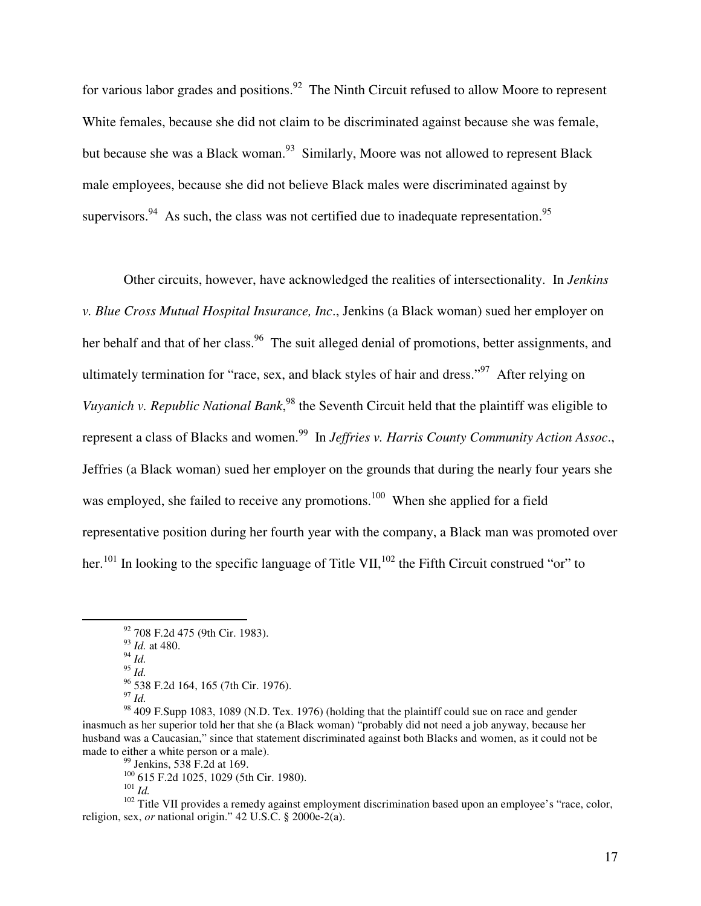for various labor grades and positions.<sup>92</sup> The Ninth Circuit refused to allow Moore to represent White females, because she did not claim to be discriminated against because she was female, but because she was a Black woman.<sup>93</sup> Similarly, Moore was not allowed to represent Black male employees, because she did not believe Black males were discriminated against by supervisors.<sup>94</sup> As such, the class was not certified due to inadequate representation.<sup>95</sup>

Other circuits, however, have acknowledged the realities of intersectionality. In *Jenkins v. Blue Cross Mutual Hospital Insurance, Inc*., Jenkins (a Black woman) sued her employer on her behalf and that of her class.<sup>96</sup> The suit alleged denial of promotions, better assignments, and ultimately termination for "race, sex, and black styles of hair and dress."<sup>97</sup> After relying on Vuyanich v. Republic National Bank,<sup>98</sup> the Seventh Circuit held that the plaintiff was eligible to represent a class of Blacks and women.<sup>99</sup> In *Jeffries v. Harris County Community Action Assoc.*, Jeffries (a Black woman) sued her employer on the grounds that during the nearly four years she was employed, she failed to receive any promotions.<sup>100</sup> When she applied for a field representative position during her fourth year with the company, a Black man was promoted over her.<sup>101</sup> In looking to the specific language of Title VII,  $^{102}$  the Fifth Circuit construed "or" to

 $^{94}$  *Id.* 

<sup>92</sup> 708 F.2d 475 (9th Cir. 1983).

<sup>93</sup> *Id.* at 480.

 $^{95}$  *Id.* 

<sup>&</sup>lt;sup>96</sup> 538 F.2d 164, 165 (7th Cir. 1976).

<sup>97</sup> *Id.*

<sup>&</sup>lt;sup>98</sup> 409 F.Supp 1083, 1089 (N.D. Tex. 1976) (holding that the plaintiff could sue on race and gender inasmuch as her superior told her that she (a Black woman) "probably did not need a job anyway, because her husband was a Caucasian," since that statement discriminated against both Blacks and women, as it could not be made to either a white person or a male).

 $99$  Jenkins, 538 F.2d at 169.

<sup>100</sup> 615 F.2d 1025, 1029 (5th Cir. 1980).

<sup>101</sup> *Id.* 

 $102$  Title VII provides a remedy against employment discrimination based upon an employee's "race, color, religion, sex, *or* national origin." 42 U.S.C. § 2000e-2(a).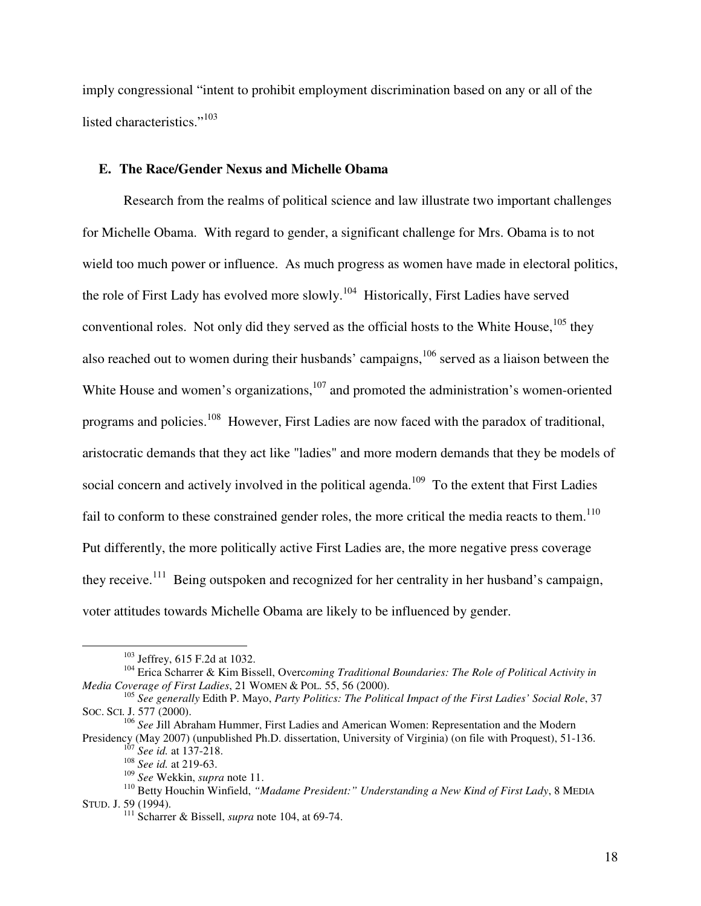imply congressional "intent to prohibit employment discrimination based on any or all of the listed characteristics."<sup>103</sup>

## **E. The Race/Gender Nexus and Michelle Obama**

Research from the realms of political science and law illustrate two important challenges for Michelle Obama. With regard to gender, a significant challenge for Mrs. Obama is to not wield too much power or influence. As much progress as women have made in electoral politics, the role of First Lady has evolved more slowly.<sup>104</sup> Historically, First Ladies have served conventional roles. Not only did they served as the official hosts to the White House, $105$  they also reached out to women during their husbands' campaigns,<sup>106</sup> served as a liaison between the White House and women's organizations,<sup>107</sup> and promoted the administration's women-oriented programs and policies.<sup>108</sup> However, First Ladies are now faced with the paradox of traditional, aristocratic demands that they act like "ladies" and more modern demands that they be models of social concern and actively involved in the political agenda.<sup>109</sup> To the extent that First Ladies fail to conform to these constrained gender roles, the more critical the media reacts to them.<sup>110</sup> Put differently, the more politically active First Ladies are, the more negative press coverage they receive.<sup>111</sup> Being outspoken and recognized for her centrality in her husband's campaign, voter attitudes towards Michelle Obama are likely to be influenced by gender.

<sup>103</sup> Jeffrey, 615 F.2d at 1032.

<sup>104</sup> Erica Scharrer & Kim Bissell, Overc*oming Traditional Boundaries: The Role of Political Activity in Media Coverage of First Ladies*, 21 WOMEN & POL. 55, 56 (2000).

<sup>105</sup> *See generally* Edith P. Mayo, *Party Politics: The Political Impact of the First Ladies' Social Role*, 37 SOC. SCI. J. 577 (2000).

<sup>106</sup> *See* Jill Abraham Hummer, First Ladies and American Women: Representation and the Modern

Presidency (May 2007) (unpublished Ph.D. dissertation, University of Virginia) (on file with Proquest), 51-136. <sup>1</sup> See id. at 137-218.

<sup>108</sup> *See id.* at 219-63.

<sup>109</sup> *See* Wekkin, *supra* note 11.

<sup>110</sup> Betty Houchin Winfield, *"Madame President:" Understanding a New Kind of First Lady*, 8 MEDIA STUD. J. 59 (1994).

<sup>111</sup> Scharrer & Bissell, *supra* note 104, at 69-74.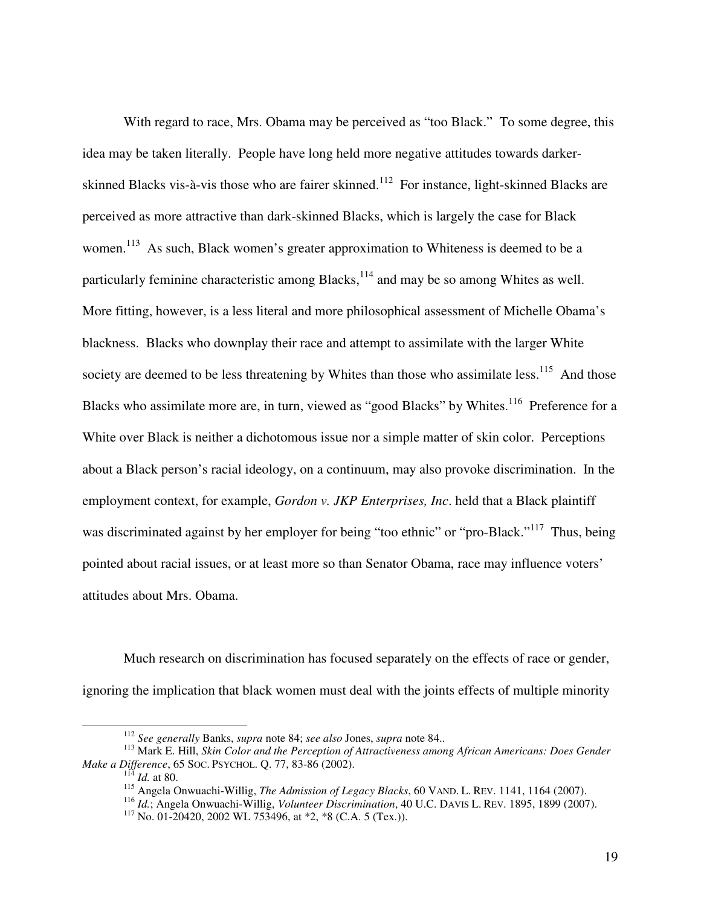With regard to race, Mrs. Obama may be perceived as "too Black." To some degree, this idea may be taken literally. People have long held more negative attitudes towards darkerskinned Blacks vis-à-vis those who are fairer skinned.<sup>112</sup> For instance, light-skinned Blacks are perceived as more attractive than dark-skinned Blacks, which is largely the case for Black women.<sup>113</sup> As such, Black women's greater approximation to Whiteness is deemed to be a particularly feminine characteristic among Blacks,<sup>114</sup> and may be so among Whites as well. More fitting, however, is a less literal and more philosophical assessment of Michelle Obama's blackness. Blacks who downplay their race and attempt to assimilate with the larger White society are deemed to be less threatening by Whites than those who assimilate less.<sup>115</sup> And those Blacks who assimilate more are, in turn, viewed as "good Blacks" by Whites.<sup>116</sup> Preference for a White over Black is neither a dichotomous issue nor a simple matter of skin color. Perceptions about a Black person's racial ideology, on a continuum, may also provoke discrimination. In the employment context, for example, *Gordon v. JKP Enterprises, Inc*. held that a Black plaintiff was discriminated against by her employer for being "too ethnic" or "pro-Black."<sup>117</sup> Thus, being pointed about racial issues, or at least more so than Senator Obama, race may influence voters' attitudes about Mrs. Obama.

Much research on discrimination has focused separately on the effects of race or gender, ignoring the implication that black women must deal with the joints effects of multiple minority

<u>.</u>

<sup>112</sup> *See generally* Banks, *supra* note 84; *see also* Jones, *supra* note 84..

<sup>113</sup> Mark E. Hill, *Skin Color and the Perception of Attractiveness among African Americans: Does Gender Make a Difference*, 65 SOC. PSYCHOL. Q. 77, 83-86 (2002).

<sup>114</sup> *Id.* at 80.

<sup>115</sup> Angela Onwuachi-Willig, *The Admission of Legacy Blacks*, 60 VAND. L. REV. 1141, 1164 (2007).

<sup>116</sup> *Id.*; Angela Onwuachi-Willig, *Volunteer Discrimination*, 40 U.C. DAVIS L. REV. 1895, 1899 (2007).

 $117$  No. 01-20420, 2002 WL 753496, at \*2, \*8 (C.A. 5 (Tex.)).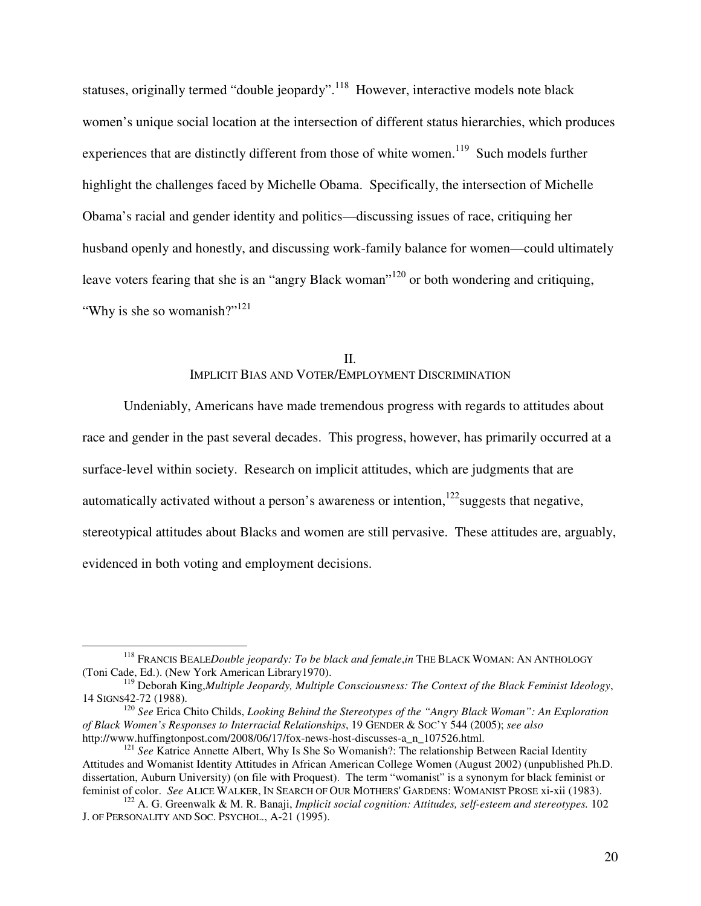statuses, originally termed "double jeopardy".<sup>118</sup> However, interactive models note black women's unique social location at the intersection of different status hierarchies, which produces experiences that are distinctly different from those of white women.<sup>119</sup> Such models further highlight the challenges faced by Michelle Obama. Specifically, the intersection of Michelle Obama's racial and gender identity and politics—discussing issues of race, critiquing her husband openly and honestly, and discussing work-family balance for women—could ultimately leave voters fearing that she is an "angry Black woman"<sup>120</sup> or both wondering and critiquing, "Why is she so womanish?"<sup>121</sup>

## II. IMPLICIT BIAS AND VOTER/EMPLOYMENT DISCRIMINATION

Undeniably, Americans have made tremendous progress with regards to attitudes about race and gender in the past several decades. This progress, however, has primarily occurred at a surface-level within society. Research on implicit attitudes, which are judgments that are automatically activated without a person's awareness or intention, $122$  suggests that negative, stereotypical attitudes about Blacks and women are still pervasive. These attitudes are, arguably, evidenced in both voting and employment decisions.

<u>.</u>

<sup>&</sup>lt;sup>118</sup> FRANCIS BEALEDouble jeopardy: To be black and female,in THE BLACK WOMAN: AN ANTHOLOGY (Toni Cade, Ed.). (New York American Library1970).

<sup>119</sup> Deborah King,*Multiple Jeopardy, Multiple Consciousness: The Context of the Black Feminist Ideology*, 14 SIGNS42-72 (1988).

<sup>120</sup> *See* Erica Chito Childs, *Looking Behind the Stereotypes of the "Angry Black Woman": An Exploration of Black Women's Responses to Interracial Relationships*, 19 GENDER & SOC'Y 544 (2005); *see also* http://www.huffingtonpost.com/2008/06/17/fox-news-host-discusses-a\_n\_107526.html.

<sup>121</sup> *See* Katrice Annette Albert, Why Is She So Womanish?: The relationship Between Racial Identity Attitudes and Womanist Identity Attitudes in African American College Women (August 2002) (unpublished Ph.D. dissertation, Auburn University) (on file with Proquest). The term "womanist" is a synonym for black feminist or feminist of color. *See* ALICE WALKER, IN SEARCH OF OUR MOTHERS' GARDENS: WOMANIST PROSE xi-xii (1983).

<sup>122</sup> A. G. Greenwalk & M. R. Banaji, *Implicit social cognition: Attitudes, self-esteem and stereotypes.* 102 J. OF PERSONALITY AND SOC. PSYCHOL., A-21 (1995).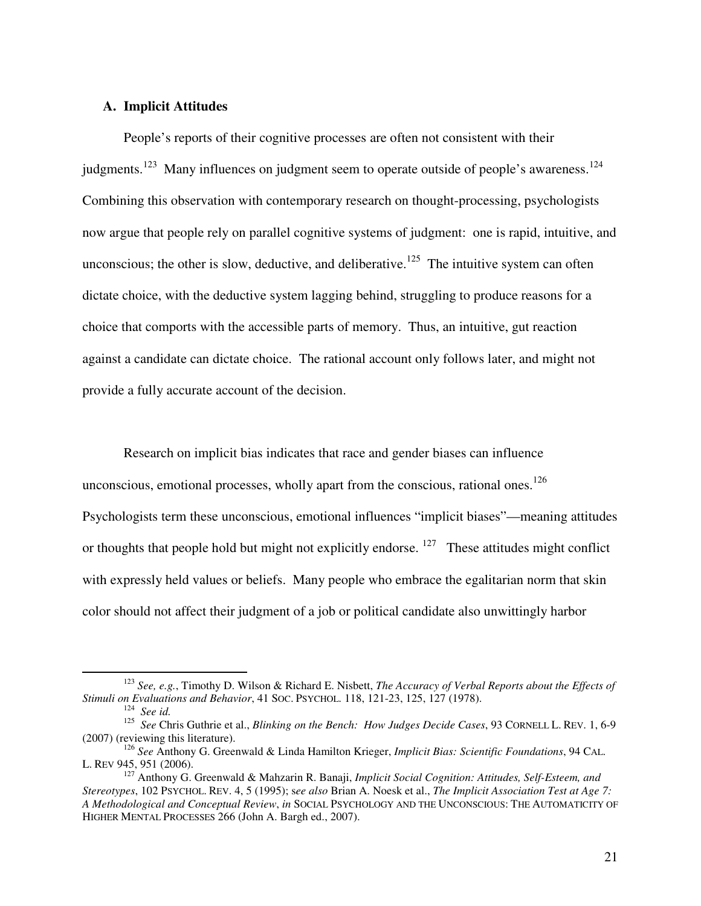## **A. Implicit Attitudes**

People's reports of their cognitive processes are often not consistent with their judgments.<sup>123</sup> Many influences on judgment seem to operate outside of people's awareness.<sup>124</sup> Combining this observation with contemporary research on thought-processing, psychologists now argue that people rely on parallel cognitive systems of judgment: one is rapid, intuitive, and unconscious; the other is slow, deductive, and deliberative.<sup>125</sup> The intuitive system can often dictate choice, with the deductive system lagging behind, struggling to produce reasons for a choice that comports with the accessible parts of memory. Thus, an intuitive, gut reaction against a candidate can dictate choice. The rational account only follows later, and might not provide a fully accurate account of the decision.

Research on implicit bias indicates that race and gender biases can influence unconscious, emotional processes, wholly apart from the conscious, rational ones.<sup>126</sup> Psychologists term these unconscious, emotional influences "implicit biases"—meaning attitudes or thoughts that people hold but might not explicitly endorse.  $127$  These attitudes might conflict with expressly held values or beliefs. Many people who embrace the egalitarian norm that skin color should not affect their judgment of a job or political candidate also unwittingly harbor

<sup>123</sup> *See, e.g.*, Timothy D. Wilson & Richard E. Nisbett, *The Accuracy of Verbal Reports about the Effects of Stimuli on Evaluations and Behavior*, 41 SOC. PSYCHOL. 118, 121-23, 125, 127 (1978).

<sup>124</sup> *See id.*

<sup>125</sup> *See* Chris Guthrie et al., *Blinking on the Bench: How Judges Decide Cases*, 93 CORNELL L. REV. 1, 6-9 (2007) (reviewing this literature).

<sup>126</sup> *See* Anthony G. Greenwald & Linda Hamilton Krieger, *Implicit Bias: Scientific Foundations*, 94 CAL. L. REV 945, 951 (2006).

<sup>127</sup> Anthony G. Greenwald & Mahzarin R. Banaji, *Implicit Social Cognition: Attitudes, Self-Esteem, and Stereotypes*, 102 PSYCHOL. REV. 4, 5 (1995); s*ee also* Brian A. Noesk et al., *The Implicit Association Test at Age 7: A Methodological and Conceptual Review*, *in* SOCIAL PSYCHOLOGY AND THE UNCONSCIOUS: THE AUTOMATICITY OF HIGHER MENTAL PROCESSES 266 (John A. Bargh ed., 2007).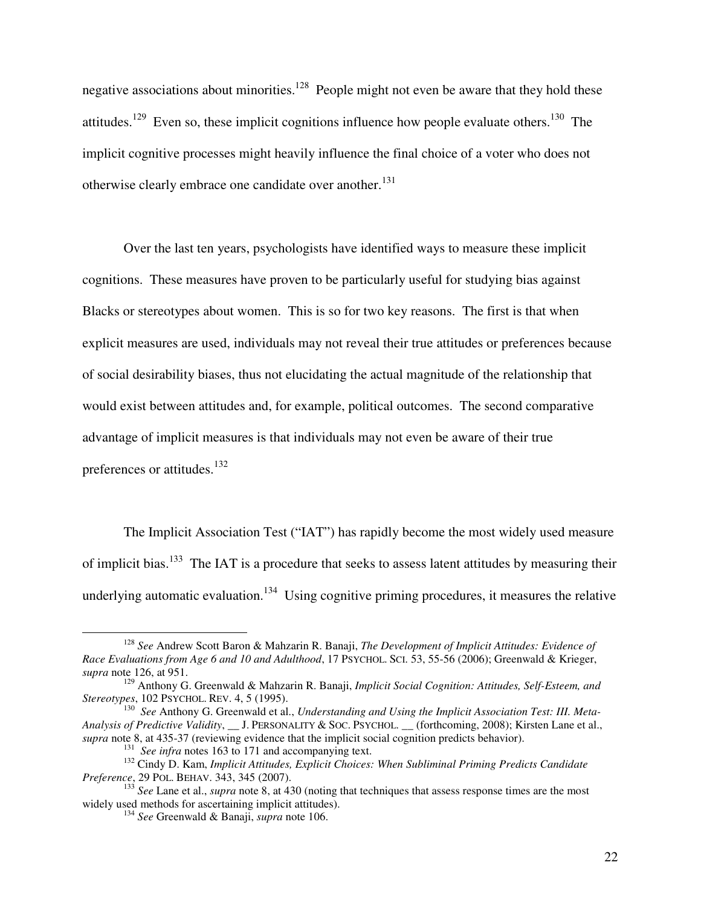negative associations about minorities.<sup>128</sup> People might not even be aware that they hold these attitudes.<sup>129</sup> Even so, these implicit cognitions influence how people evaluate others.<sup>130</sup> The implicit cognitive processes might heavily influence the final choice of a voter who does not otherwise clearly embrace one candidate over another.<sup>131</sup>

Over the last ten years, psychologists have identified ways to measure these implicit cognitions. These measures have proven to be particularly useful for studying bias against Blacks or stereotypes about women. This is so for two key reasons. The first is that when explicit measures are used, individuals may not reveal their true attitudes or preferences because of social desirability biases, thus not elucidating the actual magnitude of the relationship that would exist between attitudes and, for example, political outcomes. The second comparative advantage of implicit measures is that individuals may not even be aware of their true preferences or attitudes.<sup>132</sup>

The Implicit Association Test ("IAT") has rapidly become the most widely used measure of implicit bias.<sup>133</sup> The IAT is a procedure that seeks to assess latent attitudes by measuring their underlying automatic evaluation.<sup>134</sup> Using cognitive priming procedures, it measures the relative

<sup>128</sup> *See* Andrew Scott Baron & Mahzarin R. Banaji, *The Development of Implicit Attitudes: Evidence of Race Evaluations from Age 6 and 10 and Adulthood*, 17 PSYCHOL. SCI. 53, 55-56 (2006); Greenwald & Krieger, *supra* note 126, at 951.

<sup>129</sup> Anthony G. Greenwald & Mahzarin R. Banaji, *Implicit Social Cognition: Attitudes, Self-Esteem, and Stereotypes*, 102 PSYCHOL. REV. 4, 5 (1995).

<sup>130</sup> *See* Anthony G. Greenwald et al., *Understanding and Using the Implicit Association Test: III. Meta-Analysis of Predictive Validity*, \_\_ J. PERSONALITY & SOC. PSYCHOL. \_\_ (forthcoming, 2008); Kirsten Lane et al., *supra* note 8, at 435-37 (reviewing evidence that the implicit social cognition predicts behavior).

<sup>&</sup>lt;sup>131</sup> See infra notes 163 to 171 and accompanying text.

<sup>132</sup> Cindy D. Kam, *Implicit Attitudes, Explicit Choices: When Subliminal Priming Predicts Candidate Preference*, 29 POL. BEHAV. 343, 345 (2007).

<sup>&</sup>lt;sup>133</sup> *See* Lane et al., *supra* note 8, at 430 (noting that techniques that assess response times are the most widely used methods for ascertaining implicit attitudes).

<sup>134</sup> *See* Greenwald & Banaji, *supra* note 106.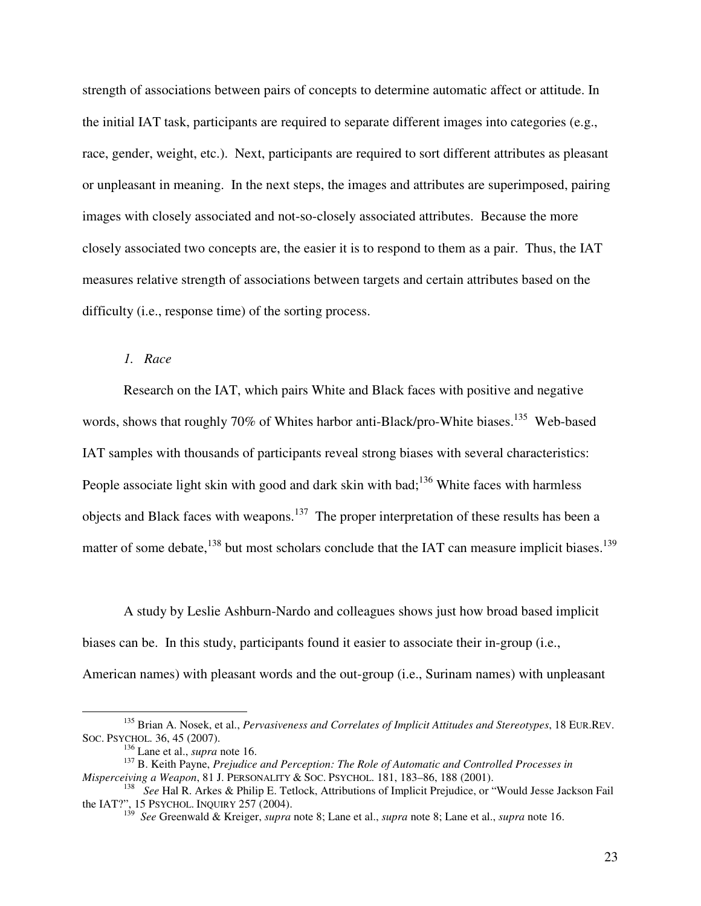strength of associations between pairs of concepts to determine automatic affect or attitude. In the initial IAT task, participants are required to separate different images into categories (e.g., race, gender, weight, etc.). Next, participants are required to sort different attributes as pleasant or unpleasant in meaning. In the next steps, the images and attributes are superimposed, pairing images with closely associated and not-so-closely associated attributes. Because the more closely associated two concepts are, the easier it is to respond to them as a pair. Thus, the IAT measures relative strength of associations between targets and certain attributes based on the difficulty (i.e., response time) of the sorting process.

## *1. Race*

Research on the IAT, which pairs White and Black faces with positive and negative words, shows that roughly 70% of Whites harbor anti-Black/pro-White biases.<sup>135</sup> Web-based IAT samples with thousands of participants reveal strong biases with several characteristics: People associate light skin with good and dark skin with bad;<sup>136</sup> White faces with harmless objects and Black faces with weapons.<sup>137</sup> The proper interpretation of these results has been a matter of some debate, $138$  but most scholars conclude that the IAT can measure implicit biases.<sup>139</sup>

A study by Leslie Ashburn-Nardo and colleagues shows just how broad based implicit biases can be. In this study, participants found it easier to associate their in-group (i.e., American names) with pleasant words and the out-group (i.e., Surinam names) with unpleasant

<sup>135</sup> Brian A. Nosek, et al., *Pervasiveness and Correlates of Implicit Attitudes and Stereotypes*, 18 EUR.REV. SOC. PSYCHOL. 36, 45 (2007).

<sup>136</sup> Lane et al., *supra* note 16.

<sup>137</sup> B. Keith Payne, *Prejudice and Perception: The Role of Automatic and Controlled Processes in Misperceiving a Weapon*, 81 J. PERSONALITY & SOC. PSYCHOL. 181, 183–86, 188 (2001).

<sup>138</sup> *See* Hal R. Arkes & Philip E. Tetlock, Attributions of Implicit Prejudice, or "Would Jesse Jackson Fail the IAT?", 15 PSYCHOL. INQUIRY 257 (2004). 139 *See* Greenwald & Kreiger, *supra* note 8; Lane et al., *supra* note 8; Lane et al., *supra* note 16.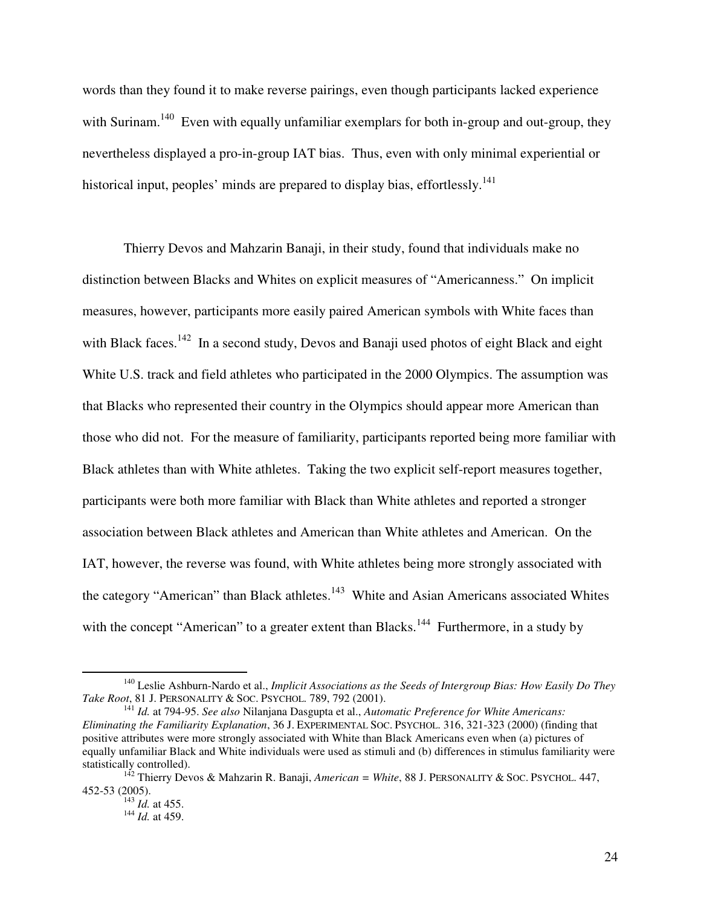words than they found it to make reverse pairings, even though participants lacked experience with Surinam.<sup>140</sup> Even with equally unfamiliar exemplars for both in-group and out-group, they nevertheless displayed a pro-in-group IAT bias. Thus, even with only minimal experiential or historical input, peoples' minds are prepared to display bias, effortlessly.<sup>141</sup>

 Thierry Devos and Mahzarin Banaji, in their study, found that individuals make no distinction between Blacks and Whites on explicit measures of "Americanness." On implicit measures, however, participants more easily paired American symbols with White faces than with Black faces.<sup>142</sup> In a second study, Devos and Banaji used photos of eight Black and eight White U.S. track and field athletes who participated in the 2000 Olympics. The assumption was that Blacks who represented their country in the Olympics should appear more American than those who did not. For the measure of familiarity, participants reported being more familiar with Black athletes than with White athletes. Taking the two explicit self-report measures together, participants were both more familiar with Black than White athletes and reported a stronger association between Black athletes and American than White athletes and American. On the IAT, however, the reverse was found, with White athletes being more strongly associated with the category "American" than Black athletes.<sup>143</sup> White and Asian Americans associated Whites with the concept "American" to a greater extent than Blacks.<sup>144</sup> Furthermore, in a study by

<sup>140</sup> Leslie Ashburn-Nardo et al., *Implicit Associations as the Seeds of Intergroup Bias: How Easily Do They Take Root*, 81 J. PERSONALITY & SOC. PSYCHOL. 789, 792 (2001).

<sup>141</sup> *Id.* at 794-95. *See also* Nilanjana Dasgupta et al., *Automatic Preference for White Americans: Eliminating the Familiarity Explanation*, 36 J. EXPERIMENTAL SOC. PSYCHOL. 316, 321-323 (2000) (finding that positive attributes were more strongly associated with White than Black Americans even when (a) pictures of equally unfamiliar Black and White individuals were used as stimuli and (b) differences in stimulus familiarity were statistically controlled).

<sup>142</sup> Thierry Devos & Mahzarin R. Banaji, *American = White*, 88 J. PERSONALITY & SOC. PSYCHOL. 447, 452-53 (2005).

<sup>143</sup> *Id.* at 455.

<sup>144</sup> *Id.* at 459.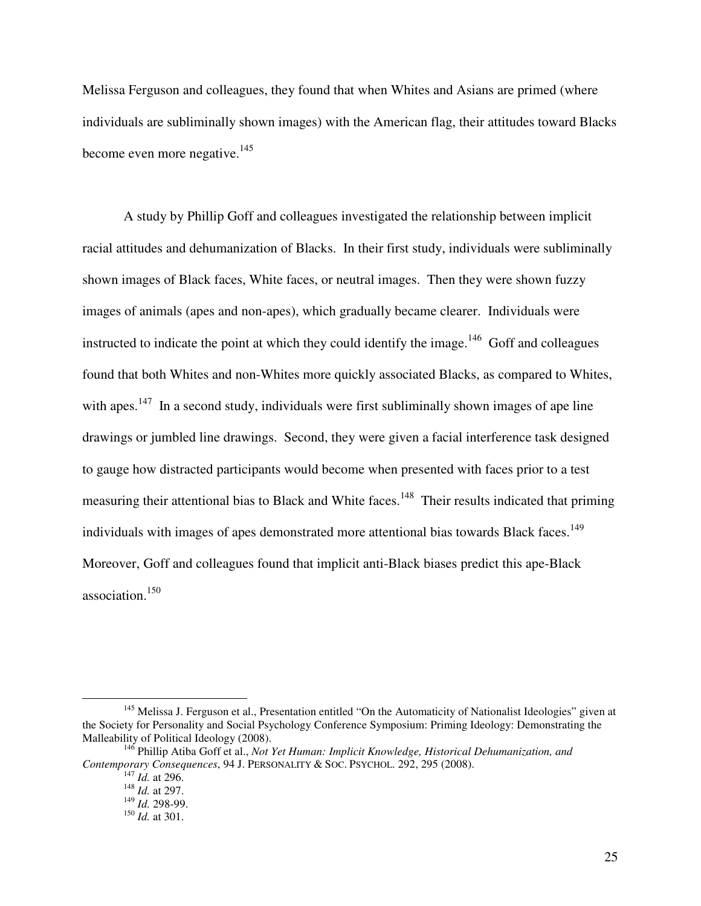Melissa Ferguson and colleagues, they found that when Whites and Asians are primed (where individuals are subliminally shown images) with the American flag, their attitudes toward Blacks become even more negative. $145$ 

 A study by Phillip Goff and colleagues investigated the relationship between implicit racial attitudes and dehumanization of Blacks. In their first study, individuals were subliminally shown images of Black faces, White faces, or neutral images. Then they were shown fuzzy images of animals (apes and non-apes), which gradually became clearer. Individuals were instructed to indicate the point at which they could identify the image.<sup>146</sup> Goff and colleagues found that both Whites and non-Whites more quickly associated Blacks, as compared to Whites, with apes.<sup>147</sup> In a second study, individuals were first subliminally shown images of ape line drawings or jumbled line drawings. Second, they were given a facial interference task designed to gauge how distracted participants would become when presented with faces prior to a test measuring their attentional bias to Black and White faces.<sup>148</sup> Their results indicated that priming individuals with images of apes demonstrated more attentional bias towards Black faces.<sup>149</sup> Moreover, Goff and colleagues found that implicit anti-Black biases predict this ape-Black association.<sup>150</sup>

<sup>&</sup>lt;sup>145</sup> Melissa J. Ferguson et al., Presentation entitled "On the Automaticity of Nationalist Ideologies" given at the Society for Personality and Social Psychology Conference Symposium: Priming Ideology: Demonstrating the Malleability of Political Ideology (2008).

<sup>146</sup> Phillip Atiba Goff et al., *Not Yet Human: Implicit Knowledge, Historical Dehumanization, and Contemporary Consequences*, 94 J. PERSONALITY & SOC. PSYCHOL. 292, 295 (2008).

<sup>147</sup> *Id.* at 296.

 $148$  *Id.* at 297.

<sup>149</sup> *Id.* 298-99.

<sup>150</sup> *Id.* at 301.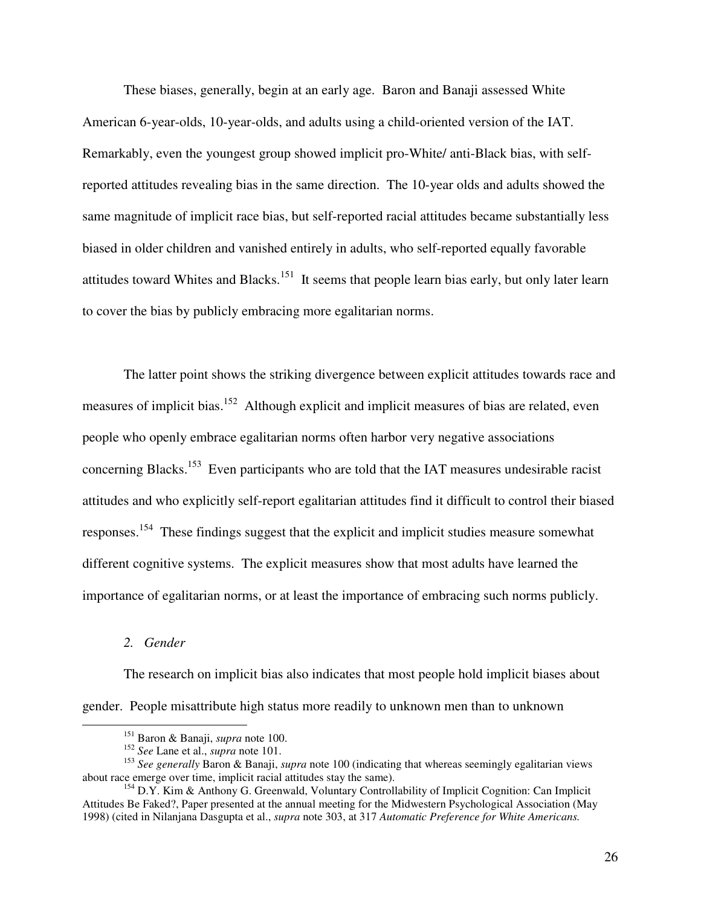These biases, generally, begin at an early age. Baron and Banaji assessed White American 6-year-olds, 10-year-olds, and adults using a child-oriented version of the IAT. Remarkably, even the youngest group showed implicit pro-White/ anti-Black bias, with selfreported attitudes revealing bias in the same direction. The 10-year olds and adults showed the same magnitude of implicit race bias, but self-reported racial attitudes became substantially less biased in older children and vanished entirely in adults, who self-reported equally favorable attitudes toward Whites and Blacks.<sup>151</sup> It seems that people learn bias early, but only later learn to cover the bias by publicly embracing more egalitarian norms.

 The latter point shows the striking divergence between explicit attitudes towards race and measures of implicit bias.<sup>152</sup> Although explicit and implicit measures of bias are related, even people who openly embrace egalitarian norms often harbor very negative associations concerning Blacks.<sup>153</sup> Even participants who are told that the IAT measures undesirable racist attitudes and who explicitly self-report egalitarian attitudes find it difficult to control their biased responses.<sup>154</sup> These findings suggest that the explicit and implicit studies measure somewhat different cognitive systems. The explicit measures show that most adults have learned the importance of egalitarian norms, or at least the importance of embracing such norms publicly.

*2. Gender* 

<u>.</u>

The research on implicit bias also indicates that most people hold implicit biases about gender. People misattribute high status more readily to unknown men than to unknown

<sup>151</sup> Baron & Banaji, *supra* note 100.

<sup>152</sup> *See* Lane et al., *supra* note 101.

<sup>153</sup> *See generally* Baron & Banaji, *supra* note 100 (indicating that whereas seemingly egalitarian views about race emerge over time, implicit racial attitudes stay the same).

<sup>&</sup>lt;sup>154</sup> D.Y. Kim & Anthony G. Greenwald, Voluntary Controllability of Implicit Cognition: Can Implicit Attitudes Be Faked?, Paper presented at the annual meeting for the Midwestern Psychological Association (May 1998) (cited in Nilanjana Dasgupta et al., *supra* note 303, at 317 *Automatic Preference for White Americans.*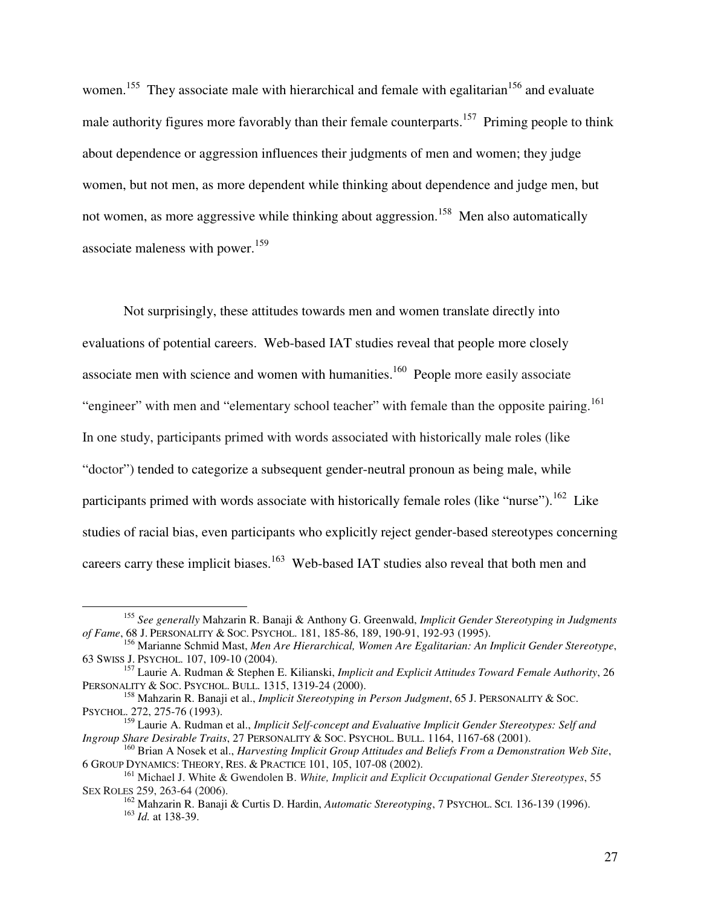women.<sup>155</sup> They associate male with hierarchical and female with egalitarian<sup>156</sup> and evaluate male authority figures more favorably than their female counterparts.<sup>157</sup> Priming people to think about dependence or aggression influences their judgments of men and women; they judge women, but not men, as more dependent while thinking about dependence and judge men, but not women, as more aggressive while thinking about aggression.<sup>158</sup> Men also automatically associate maleness with power.<sup>159</sup>

Not surprisingly, these attitudes towards men and women translate directly into evaluations of potential careers. Web-based IAT studies reveal that people more closely associate men with science and women with humanities.<sup>160</sup> People more easily associate "engineer" with men and "elementary school teacher" with female than the opposite pairing.<sup>161</sup> In one study, participants primed with words associated with historically male roles (like "doctor") tended to categorize a subsequent gender-neutral pronoun as being male, while participants primed with words associate with historically female roles (like "nurse").<sup>162</sup> Like studies of racial bias, even participants who explicitly reject gender-based stereotypes concerning careers carry these implicit biases.<sup>163</sup> Web-based IAT studies also reveal that both men and

<sup>155</sup> *See generally* Mahzarin R. Banaji & Anthony G. Greenwald, *Implicit Gender Stereotyping in Judgments of Fame*, 68 J. PERSONALITY & SOC. PSYCHOL. 181, 185-86, 189, 190-91, 192-93 (1995).

<sup>156</sup> Marianne Schmid Mast, *Men Are Hierarchical, Women Are Egalitarian: An Implicit Gender Stereotype*, 63 SWISS J. PSYCHOL. 107, 109-10 (2004).

<sup>157</sup> Laurie A. Rudman & Stephen E. Kilianski, *Implicit and Explicit Attitudes Toward Female Authority*, 26 PERSONALITY & SOC. PSYCHOL. BULL. 1315, 1319-24 (2000).

<sup>158</sup> Mahzarin R. Banaji et al., *Implicit Stereotyping in Person Judgment*, 65 J. PERSONALITY & SOC. PSYCHOL. 272, 275-76 (1993).

<sup>159</sup> Laurie A. Rudman et al., *Implicit Self-concept and Evaluative Implicit Gender Stereotypes: Self and Ingroup Share Desirable Traits*, 27 PERSONALITY & SOC. PSYCHOL. BULL. 1164, 1167-68 (2001).

<sup>160</sup> Brian A Nosek et al., *Harvesting Implicit Group Attitudes and Beliefs From a Demonstration Web Site*, 6 GROUP DYNAMICS: THEORY, RES. & PRACTICE 101, 105, 107-08 (2002).

<sup>161</sup> Michael J. White & Gwendolen B. *White, Implicit and Explicit Occupational Gender Stereotypes*, 55 SEX ROLES 259, 263-64 (2006).

<sup>162</sup> Mahzarin R. Banaji & Curtis D. Hardin, *Automatic Stereotyping*, 7 PSYCHOL. SCI. 136-139 (1996). <sup>163</sup> *Id.* at 138-39.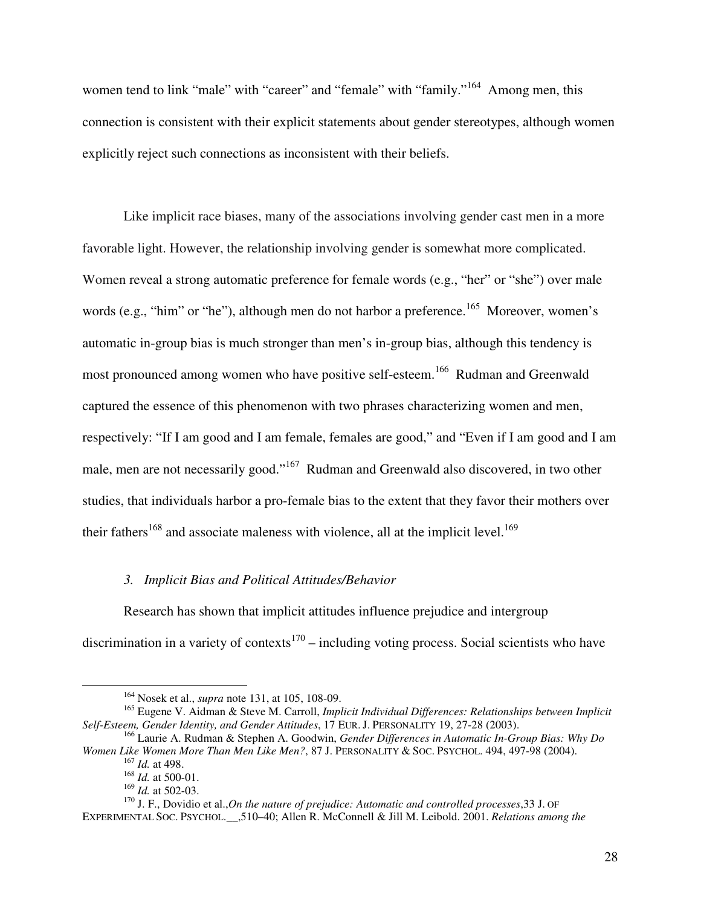women tend to link "male" with "career" and "female" with "family."<sup>164</sup> Among men, this connection is consistent with their explicit statements about gender stereotypes, although women explicitly reject such connections as inconsistent with their beliefs.

 Like implicit race biases, many of the associations involving gender cast men in a more favorable light. However, the relationship involving gender is somewhat more complicated. Women reveal a strong automatic preference for female words (e.g., "her" or "she") over male words (e.g., "him" or "he"), although men do not harbor a preference.<sup>165</sup> Moreover, women's automatic in-group bias is much stronger than men's in-group bias, although this tendency is most pronounced among women who have positive self-esteem.<sup>166</sup> Rudman and Greenwald captured the essence of this phenomenon with two phrases characterizing women and men, respectively: "If I am good and I am female, females are good," and "Even if I am good and I am male, men are not necessarily good."<sup>167</sup> Rudman and Greenwald also discovered, in two other studies, that individuals harbor a pro-female bias to the extent that they favor their mothers over their fathers<sup>168</sup> and associate maleness with violence, all at the implicit level.<sup>169</sup>

#### *3. Implicit Bias and Political Attitudes/Behavior*

Research has shown that implicit attitudes influence prejudice and intergroup discrimination in a variety of contexts<sup>170</sup> – including voting process. Social scientists who have

<sup>164</sup> Nosek et al., *supra* note 131, at 105, 108-09.

<sup>165</sup> Eugene V. Aidman & Steve M. Carroll, *Implicit Individual Differences: Relationships between Implicit Self-Esteem, Gender Identity, and Gender Attitudes*, 17 EUR. J. PERSONALITY 19, 27-28 (2003).

<sup>166</sup> Laurie A. Rudman & Stephen A. Goodwin, *Gender Differences in Automatic In-Group Bias: Why Do Women Like Women More Than Men Like Men?*, 87 J. PERSONALITY & SOC. PSYCHOL. 494, 497-98 (2004). <sup>167</sup> *Id.* at 498.

<sup>168</sup> *Id.* at 500-01.

<sup>169</sup> *Id.* at 502-03.

<sup>170</sup> J. F., Dovidio et al.,*On the nature of prejudice: Automatic and controlled processes*,33 J. OF EXPERIMENTAL SOC. PSYCHOL.\_\_,510–40; Allen R. McConnell & Jill M. Leibold. 2001. *Relations among the*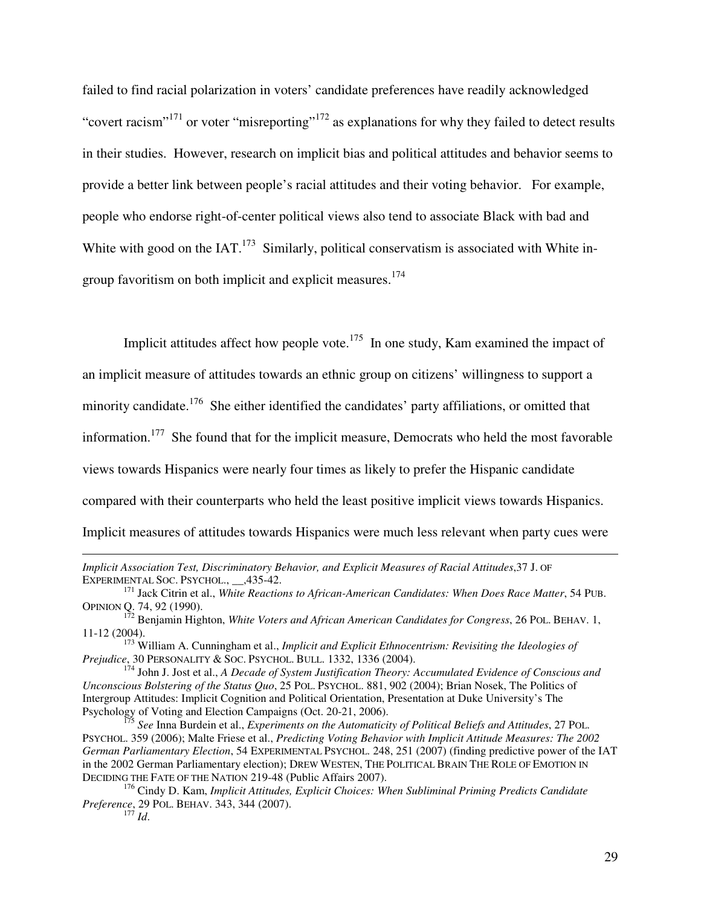failed to find racial polarization in voters' candidate preferences have readily acknowledged "covert racism"<sup>171</sup> or voter "misreporting"<sup>172</sup> as explanations for why they failed to detect results in their studies. However, research on implicit bias and political attitudes and behavior seems to provide a better link between people's racial attitudes and their voting behavior. For example, people who endorse right-of-center political views also tend to associate Black with bad and White with good on the  $IAT$ .<sup>173</sup> Similarly, political conservatism is associated with White ingroup favoritism on both implicit and explicit measures.<sup>174</sup>

Implicit attitudes affect how people vote.<sup>175</sup> In one study, Kam examined the impact of an implicit measure of attitudes towards an ethnic group on citizens' willingness to support a minority candidate.<sup>176</sup> She either identified the candidates' party affiliations, or omitted that information.<sup>177</sup> She found that for the implicit measure, Democrats who held the most favorable views towards Hispanics were nearly four times as likely to prefer the Hispanic candidate compared with their counterparts who held the least positive implicit views towards Hispanics. Implicit measures of attitudes towards Hispanics were much less relevant when party cues were

*Implicit Association Test, Discriminatory Behavior, and Explicit Measures of Racial Attitudes*,37 J. OF EXPERIMENTAL SOC. PSYCHOL., \_\_,435-42.

<sup>&</sup>lt;sup>171</sup> Jack Citrin et al., *White Reactions to African-American Candidates: When Does Race Matter*, 54 PUB. OPINION Q. 74, 92 (1990).

<sup>&</sup>lt;sup>172</sup> Benjamin Highton, *White Voters and African American Candidates for Congress*, 26 POL. BEHAV. 1, 11-12 (2004).

<sup>173</sup> William A. Cunningham et al., *Implicit and Explicit Ethnocentrism: Revisiting the Ideologies of Prejudice*, 30 PERSONALITY & SOC. PSYCHOL. BULL. 1332, 1336 (2004).

<sup>174</sup> John J. Jost et al., *A Decade of System Justification Theory: Accumulated Evidence of Conscious and Unconscious Bolstering of the Status Quo*, 25 POL. PSYCHOL. 881, 902 (2004); Brian Nosek, The Politics of Intergroup Attitudes: Implicit Cognition and Political Orientation, Presentation at Duke University's The Psychology of Voting and Election Campaigns (Oct. 20-21, 2006).

<sup>175</sup> *See* Inna Burdein et al., *Experiments on the Automaticity of Political Beliefs and Attitudes*, 27 POL. PSYCHOL. 359 (2006); Malte Friese et al., *Predicting Voting Behavior with Implicit Attitude Measures: The 2002 German Parliamentary Election*, 54 EXPERIMENTAL PSYCHOL. 248, 251 (2007) (finding predictive power of the IAT in the 2002 German Parliamentary election); DREW WESTEN, THE POLITICAL BRAIN THE ROLE OF EMOTION IN DECIDING THE FATE OF THE NATION 219-48 (Public Affairs 2007).

<sup>176</sup> Cindy D. Kam, *Implicit Attitudes, Explicit Choices: When Subliminal Priming Predicts Candidate Preference*, 29 POL. BEHAV. 343, 344 (2007).

<sup>177</sup> *Id*.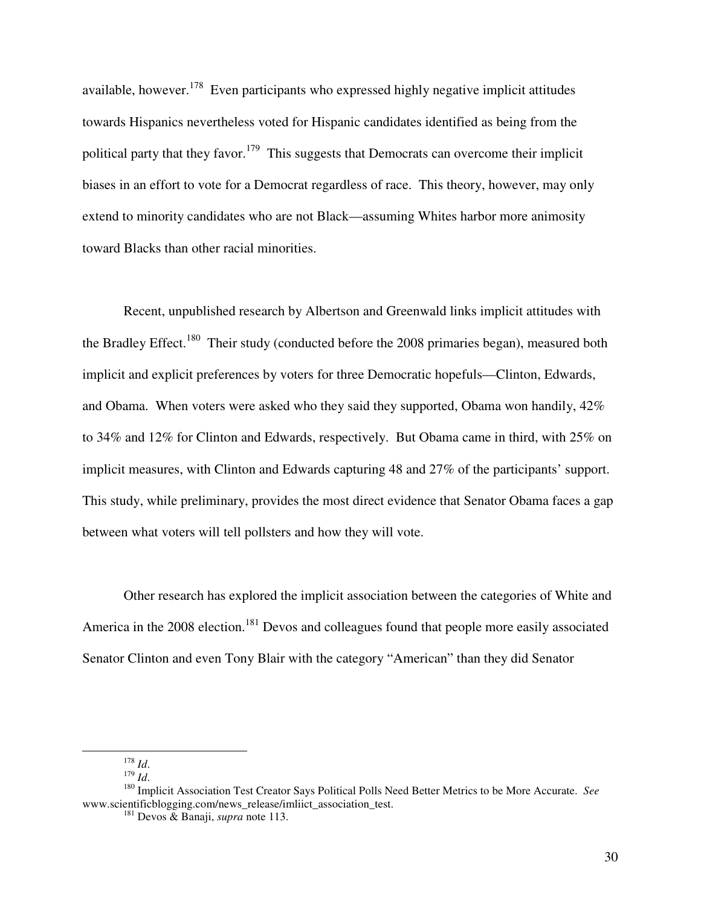available, however.<sup>178</sup> Even participants who expressed highly negative implicit attitudes towards Hispanics nevertheless voted for Hispanic candidates identified as being from the political party that they favor.<sup>179</sup> This suggests that Democrats can overcome their implicit biases in an effort to vote for a Democrat regardless of race. This theory, however, may only extend to minority candidates who are not Black—assuming Whites harbor more animosity toward Blacks than other racial minorities.

Recent, unpublished research by Albertson and Greenwald links implicit attitudes with the Bradley Effect.<sup>180</sup> Their study (conducted before the 2008 primaries began), measured both implicit and explicit preferences by voters for three Democratic hopefuls—Clinton, Edwards, and Obama. When voters were asked who they said they supported, Obama won handily, 42% to 34% and 12% for Clinton and Edwards, respectively. But Obama came in third, with 25% on implicit measures, with Clinton and Edwards capturing 48 and 27% of the participants' support. This study, while preliminary, provides the most direct evidence that Senator Obama faces a gap between what voters will tell pollsters and how they will vote.

Other research has explored the implicit association between the categories of White and America in the 2008 election.<sup>181</sup> Devos and colleagues found that people more easily associated Senator Clinton and even Tony Blair with the category "American" than they did Senator

<sup>178</sup> *Id*.

<sup>179</sup> *Id*.

<sup>180</sup> Implicit Association Test Creator Says Political Polls Need Better Metrics to be More Accurate. *See* www.scientificblogging.com/news\_release/imliict\_association\_test.

<sup>181</sup> Devos & Banaji, *supra* note 113.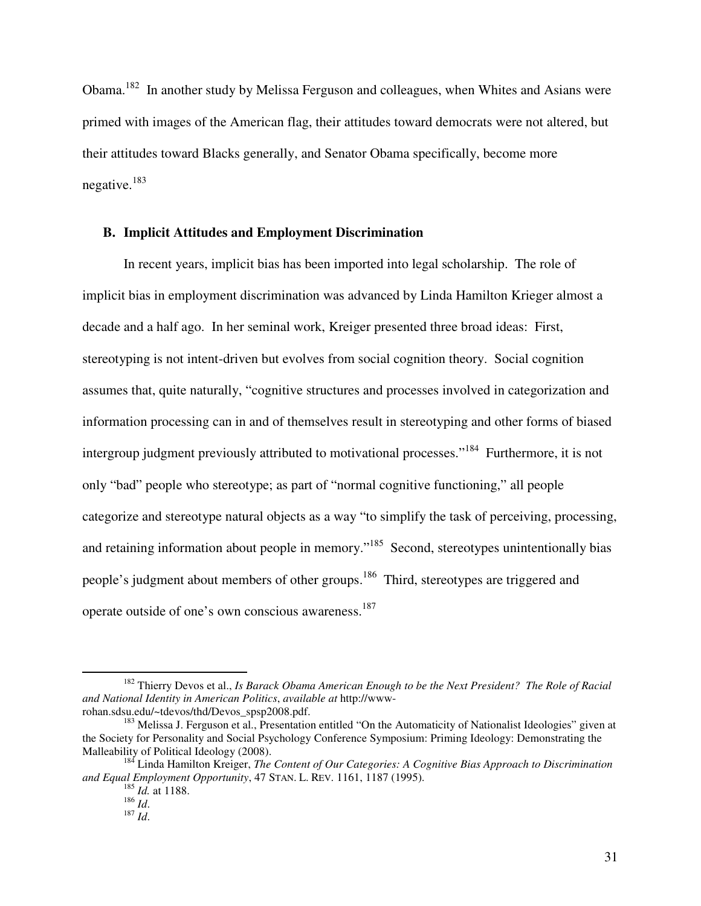Obama.<sup>182</sup> In another study by Melissa Ferguson and colleagues, when Whites and Asians were primed with images of the American flag, their attitudes toward democrats were not altered, but their attitudes toward Blacks generally, and Senator Obama specifically, become more negative.<sup>183</sup>

## **B. Implicit Attitudes and Employment Discrimination**

In recent years, implicit bias has been imported into legal scholarship. The role of implicit bias in employment discrimination was advanced by Linda Hamilton Krieger almost a decade and a half ago. In her seminal work, Kreiger presented three broad ideas: First, stereotyping is not intent-driven but evolves from social cognition theory. Social cognition assumes that, quite naturally, "cognitive structures and processes involved in categorization and information processing can in and of themselves result in stereotyping and other forms of biased intergroup judgment previously attributed to motivational processes."<sup>184</sup> Furthermore, it is not only "bad" people who stereotype; as part of "normal cognitive functioning," all people categorize and stereotype natural objects as a way "to simplify the task of perceiving, processing, and retaining information about people in memory."<sup>185</sup> Second, stereotypes unintentionally bias people's judgment about members of other groups.<sup>186</sup> Third, stereotypes are triggered and operate outside of one's own conscious awareness.<sup>187</sup>

<sup>-</sup><sup>182</sup> Thierry Devos et al., *Is Barack Obama American Enough to be the Next President? The Role of Racial and National Identity in American Politics*, *available at* http://wwwrohan.sdsu.edu/~tdevos/thd/Devos\_spsp2008.pdf.

<sup>&</sup>lt;sup>183</sup> Melissa J. Ferguson et al., Presentation entitled "On the Automaticity of Nationalist Ideologies" given at the Society for Personality and Social Psychology Conference Symposium: Priming Ideology: Demonstrating the Malleability of Political Ideology (2008).

<sup>184</sup> Linda Hamilton Kreiger, *The Content of Our Categories: A Cognitive Bias Approach to Discrimination and Equal Employment Opportunity*, 47 STAN. L. REV. 1161, 1187 (1995).

<sup>185</sup> *Id.* at 1188.

<sup>186</sup> *Id*.

<sup>187</sup> *Id*.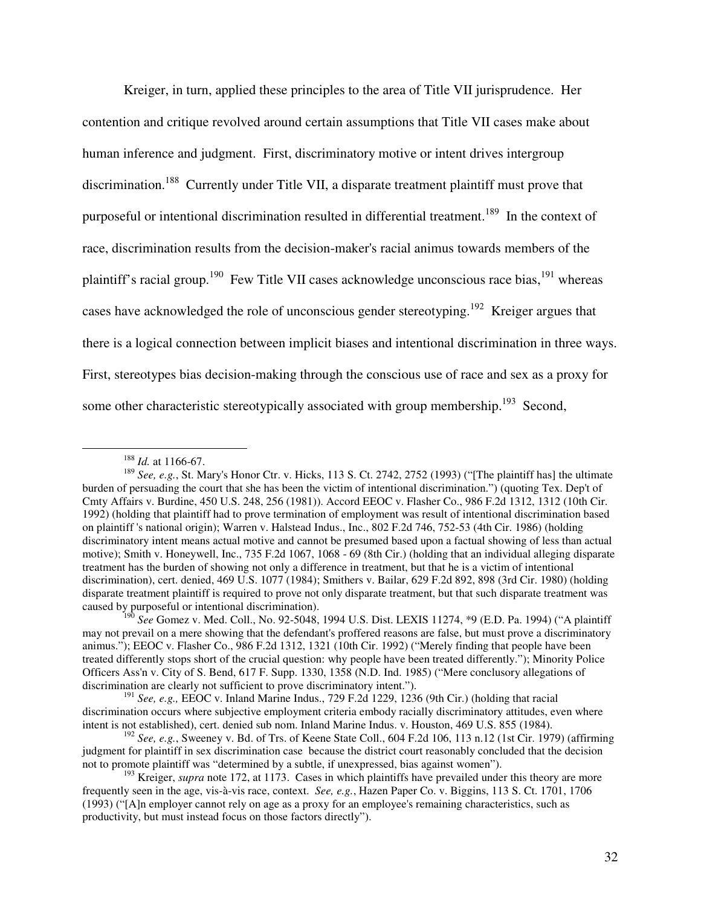Kreiger, in turn, applied these principles to the area of Title VII jurisprudence. Her contention and critique revolved around certain assumptions that Title VII cases make about human inference and judgment. First, discriminatory motive or intent drives intergroup discrimination.<sup>188</sup> Currently under Title VII, a disparate treatment plaintiff must prove that purposeful or intentional discrimination resulted in differential treatment.<sup>189</sup> In the context of race, discrimination results from the decision-maker's racial animus towards members of the plaintiff's racial group.<sup>190</sup> Few Title VII cases acknowledge unconscious race bias,<sup>191</sup> whereas cases have acknowledged the role of unconscious gender stereotyping.<sup>192</sup> Kreiger argues that there is a logical connection between implicit biases and intentional discrimination in three ways. First, stereotypes bias decision-making through the conscious use of race and sex as a proxy for some other characteristic stereotypically associated with group membership.<sup>193</sup> Second,

<sup>188</sup> *Id.* at 1166-67.

<sup>&</sup>lt;sup>189</sup> See, e.g., St. Mary's Honor Ctr. v. Hicks, 113 S. Ct. 2742, 2752 (1993) ("[The plaintiff has] the ultimate burden of persuading the court that she has been the victim of intentional discrimination.") (quoting Tex. Dep't of Cmty Affairs v. Burdine, 450 U.S. 248, 256 (1981)). Accord EEOC v. Flasher Co., 986 F.2d 1312, 1312 (10th Cir. 1992) (holding that plaintiff had to prove termination of employment was result of intentional discrimination based on plaintiff 's national origin); Warren v. Halstead Indus., Inc., 802 F.2d 746, 752-53 (4th Cir. 1986) (holding discriminatory intent means actual motive and cannot be presumed based upon a factual showing of less than actual motive); Smith v. Honeywell, Inc., 735 F.2d 1067, 1068 - 69 (8th Cir.) (holding that an individual alleging disparate treatment has the burden of showing not only a difference in treatment, but that he is a victim of intentional discrimination), cert. denied, 469 U.S. 1077 (1984); Smithers v. Bailar, 629 F.2d 892, 898 (3rd Cir. 1980) (holding disparate treatment plaintiff is required to prove not only disparate treatment, but that such disparate treatment was caused by purposeful or intentional discrimination).

<sup>190</sup> *See* Gomez v. Med. Coll., No. 92-5048, 1994 U.S. Dist. LEXIS 11274, \*9 (E.D. Pa. 1994) ("A plaintiff may not prevail on a mere showing that the defendant's proffered reasons are false, but must prove a discriminatory animus."); EEOC v. Flasher Co., 986 F.2d 1312, 1321 (10th Cir. 1992) ("Merely finding that people have been treated differently stops short of the crucial question: why people have been treated differently."); Minority Police Officers Ass'n v. City of S. Bend, 617 F. Supp. 1330, 1358 (N.D. Ind. 1985) ("Mere conclusory allegations of discrimination are clearly not sufficient to prove discriminatory intent.").

<sup>191</sup> *See, e.g.,* EEOC v. Inland Marine Indus., 729 F.2d 1229, 1236 (9th Cir.) (holding that racial discrimination occurs where subjective employment criteria embody racially discriminatory attitudes, even where intent is not established), cert. denied sub nom. Inland Marine Indus. v. Houston, 469 U.S. 855 (1984).

<sup>192</sup> *See, e.g.*, Sweeney v. Bd. of Trs. of Keene State Coll., 604 F.2d 106, 113 n.12 (1st Cir. 1979) (affirming judgment for plaintiff in sex discrimination case because the district court reasonably concluded that the decision not to promote plaintiff was "determined by a subtle, if unexpressed, bias against women").

<sup>&</sup>lt;sup>193</sup> Kreiger, *supra* note 172, at 1173. Cases in which plaintiffs have prevailed under this theory are more frequently seen in the age, vis-à-vis race, context. *See, e.g.*, Hazen Paper Co. v. Biggins, 113 S. Ct. 1701, 1706 (1993) ("[A]n employer cannot rely on age as a proxy for an employee's remaining characteristics, such as productivity, but must instead focus on those factors directly").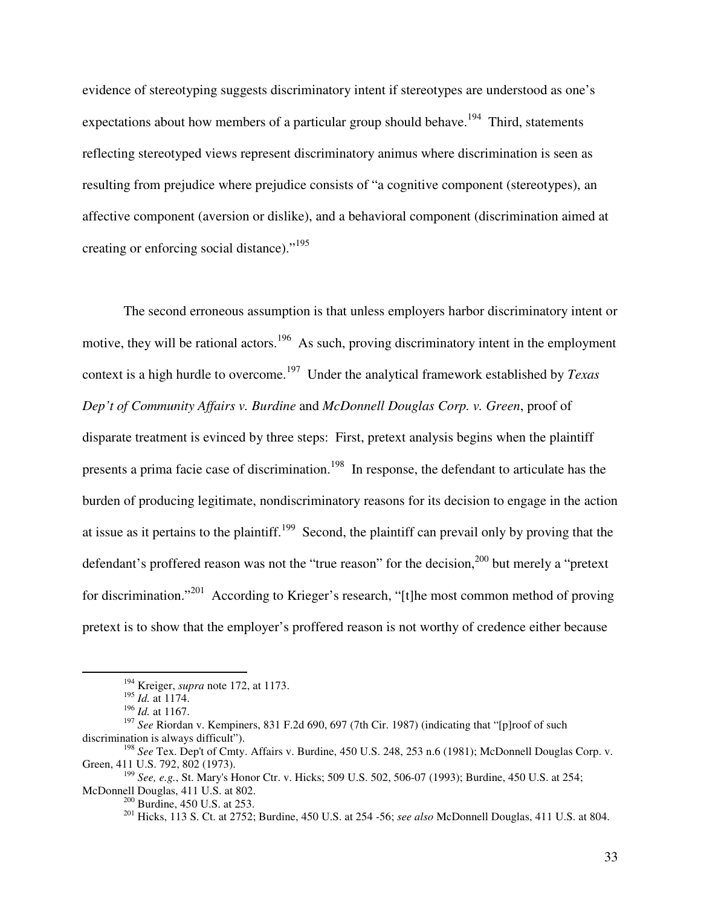evidence of stereotyping suggests discriminatory intent if stereotypes are understood as one's expectations about how members of a particular group should behave.<sup>194</sup> Third, statements reflecting stereotyped views represent discriminatory animus where discrimination is seen as resulting from prejudice where prejudice consists of "a cognitive component (stereotypes), an affective component (aversion or dislike), and a behavioral component (discrimination aimed at creating or enforcing social distance)."<sup>195</sup>

The second erroneous assumption is that unless employers harbor discriminatory intent or motive, they will be rational actors.<sup>196</sup> As such, proving discriminatory intent in the employment context is a high hurdle to overcome.<sup>197</sup> Under the analytical framework established by *Texas Dep't of Community Affairs v. Burdine* and *McDonnell Douglas Corp. v. Green*, proof of disparate treatment is evinced by three steps: First, pretext analysis begins when the plaintiff presents a prima facie case of discrimination.<sup>198</sup> In response, the defendant to articulate has the burden of producing legitimate, nondiscriminatory reasons for its decision to engage in the action at issue as it pertains to the plaintiff.<sup>199</sup> Second, the plaintiff can prevail only by proving that the defendant's proffered reason was not the "true reason" for the decision,<sup>200</sup> but merely a "pretext" for discrimination."<sup>201</sup> According to Krieger's research, "[t]he most common method of proving pretext is to show that the employer's proffered reason is not worthy of credence either because

-

<sup>200</sup> Burdine, 450 U.S. at 253.

<sup>194</sup> Kreiger, *supra* note 172, at 1173.

<sup>195</sup> *Id.* at 1174.

<sup>196</sup> *Id.* at 1167.

<sup>&</sup>lt;sup>197</sup> See Riordan v. Kempiners, 831 F.2d 690, 697 (7th Cir. 1987) (indicating that "[p]roof of such discrimination is always difficult").

<sup>198</sup> *See* Tex. Dep't of Cmty. Affairs v. Burdine, 450 U.S. 248, 253 n.6 (1981); McDonnell Douglas Corp. v. Green, 411 U.S. 792, 802 (1973).

<sup>199</sup> *See, e.g.*, St. Mary's Honor Ctr. v. Hicks; 509 U.S. 502, 506-07 (1993); Burdine, 450 U.S. at 254; McDonnell Douglas, 411 U.S. at 802.

<sup>201</sup> Hicks, 113 S. Ct. at 2752; Burdine, 450 U.S. at 254 -56; *see also* McDonnell Douglas, 411 U.S. at 804.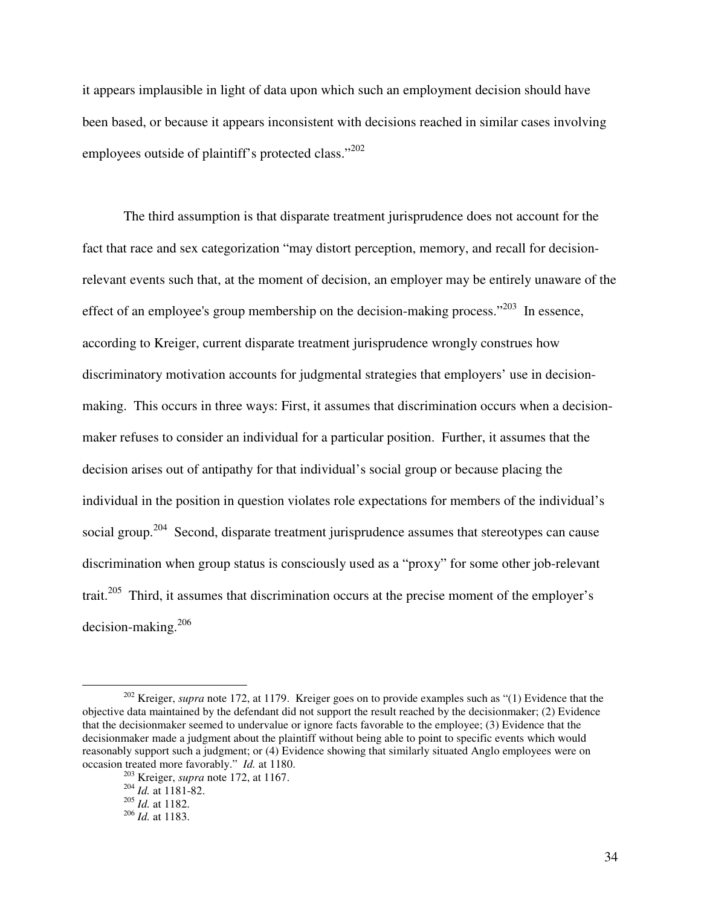it appears implausible in light of data upon which such an employment decision should have been based, or because it appears inconsistent with decisions reached in similar cases involving employees outside of plaintiff's protected class."<sup>202</sup>

The third assumption is that disparate treatment jurisprudence does not account for the fact that race and sex categorization "may distort perception, memory, and recall for decisionrelevant events such that, at the moment of decision, an employer may be entirely unaware of the effect of an employee's group membership on the decision-making process."<sup>203</sup> In essence, according to Kreiger, current disparate treatment jurisprudence wrongly construes how discriminatory motivation accounts for judgmental strategies that employers' use in decisionmaking. This occurs in three ways: First, it assumes that discrimination occurs when a decisionmaker refuses to consider an individual for a particular position. Further, it assumes that the decision arises out of antipathy for that individual's social group or because placing the individual in the position in question violates role expectations for members of the individual's social group.<sup>204</sup> Second, disparate treatment jurisprudence assumes that stereotypes can cause discrimination when group status is consciously used as a "proxy" for some other job-relevant trait.<sup>205</sup> Third, it assumes that discrimination occurs at the precise moment of the employer's decision-making.<sup>206</sup>

<sup>&</sup>lt;sup>202</sup> Kreiger, *supra* note 172, at 1179. Kreiger goes on to provide examples such as "(1) Evidence that the objective data maintained by the defendant did not support the result reached by the decisionmaker; (2) Evidence that the decisionmaker seemed to undervalue or ignore facts favorable to the employee; (3) Evidence that the decisionmaker made a judgment about the plaintiff without being able to point to specific events which would reasonably support such a judgment; or (4) Evidence showing that similarly situated Anglo employees were on occasion treated more favorably." *Id.* at 1180.

<sup>203</sup> Kreiger, *supra* note 172, at 1167.

<sup>204</sup> *Id.* at 1181-82.

<sup>205</sup> *Id.* at 1182.

<sup>206</sup> *Id.* at 1183.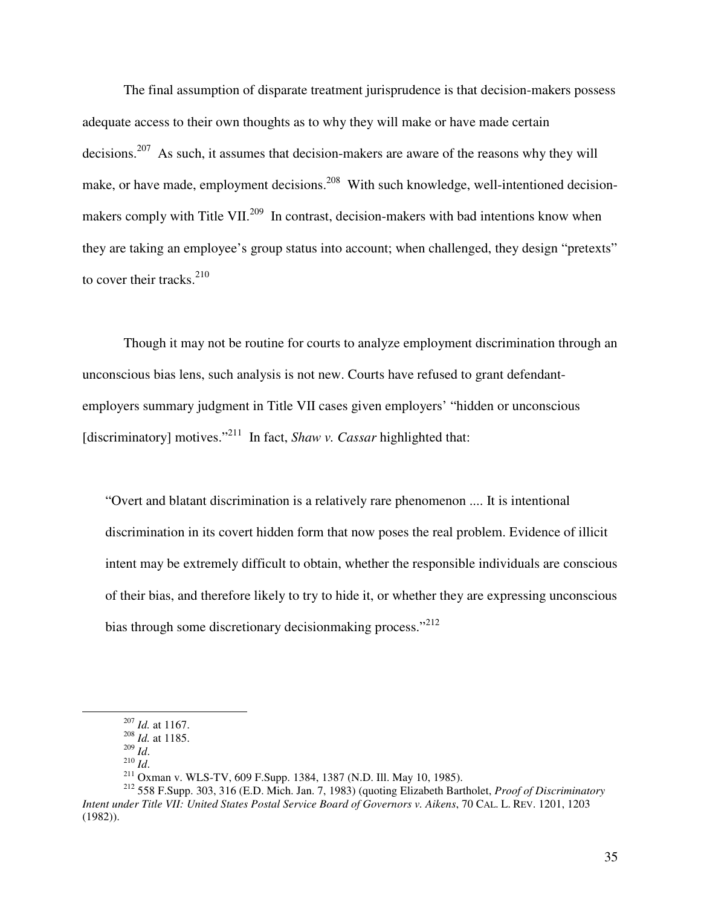The final assumption of disparate treatment jurisprudence is that decision-makers possess adequate access to their own thoughts as to why they will make or have made certain decisions.<sup>207</sup> As such, it assumes that decision-makers are aware of the reasons why they will make, or have made, employment decisions.<sup>208</sup> With such knowledge, well-intentioned decisionmakers comply with Title VII.<sup>209</sup> In contrast, decision-makers with bad intentions know when they are taking an employee's group status into account; when challenged, they design "pretexts" to cover their tracks. $210$ 

Though it may not be routine for courts to analyze employment discrimination through an unconscious bias lens, such analysis is not new. Courts have refused to grant defendantemployers summary judgment in Title VII cases given employers' "hidden or unconscious [discriminatory] motives."<sup>211</sup> In fact, *Shaw v. Cassar* highlighted that:

"Overt and blatant discrimination is a relatively rare phenomenon .... It is intentional discrimination in its covert hidden form that now poses the real problem. Evidence of illicit intent may be extremely difficult to obtain, whether the responsible individuals are conscious of their bias, and therefore likely to try to hide it, or whether they are expressing unconscious bias through some discretionary decision making process."<sup>212</sup>

<sup>207</sup> *Id.* at 1167.

<sup>208</sup> *Id.* at 1185.

<sup>209</sup> *Id*.

<sup>210</sup> *Id*.

<sup>211</sup> Oxman v. WLS-TV, 609 F.Supp. 1384, 1387 (N.D. Ill. May 10, 1985).

<sup>212</sup> 558 F.Supp. 303, 316 (E.D. Mich. Jan. 7, 1983) (quoting Elizabeth Bartholet, *Proof of Discriminatory Intent under Title VII: United States Postal Service Board of Governors v. Aikens*, 70 CAL. L. REV. 1201, 1203 (1982)).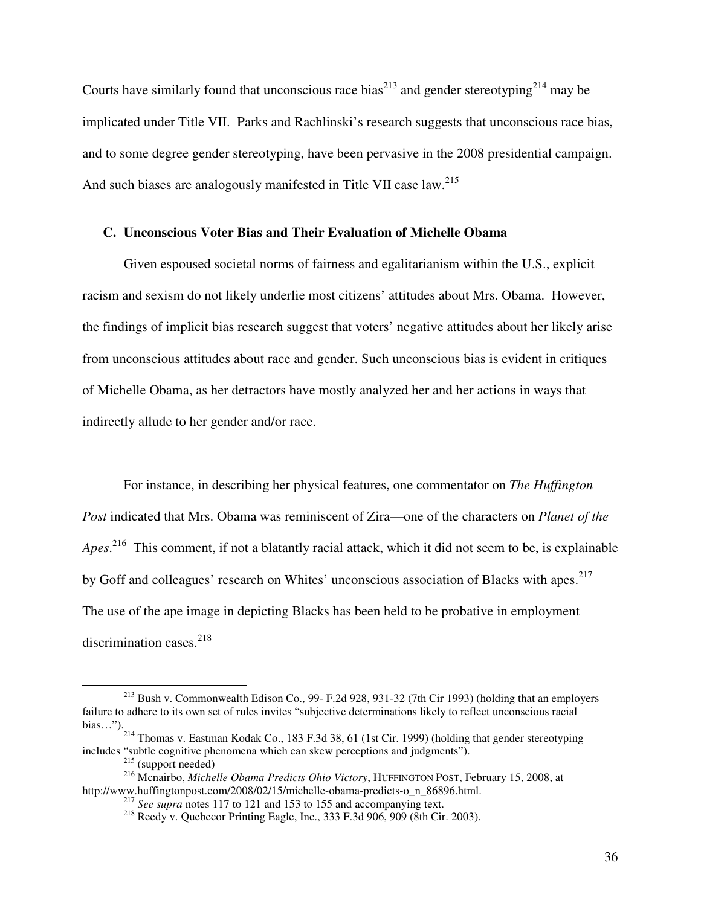Courts have similarly found that unconscious race bias<sup>213</sup> and gender stereotyping<sup>214</sup> may be implicated under Title VII. Parks and Rachlinski's research suggests that unconscious race bias, and to some degree gender stereotyping, have been pervasive in the 2008 presidential campaign. And such biases are analogously manifested in Title VII case law.<sup>215</sup>

## **C. Unconscious Voter Bias and Their Evaluation of Michelle Obama**

Given espoused societal norms of fairness and egalitarianism within the U.S., explicit racism and sexism do not likely underlie most citizens' attitudes about Mrs. Obama. However, the findings of implicit bias research suggest that voters' negative attitudes about her likely arise from unconscious attitudes about race and gender. Such unconscious bias is evident in critiques of Michelle Obama, as her detractors have mostly analyzed her and her actions in ways that indirectly allude to her gender and/or race.

For instance, in describing her physical features, one commentator on *The Huffington Post* indicated that Mrs. Obama was reminiscent of Zira—one of the characters on *Planet of the Apes*. <sup>216</sup> This comment, if not a blatantly racial attack, which it did not seem to be, is explainable by Goff and colleagues' research on Whites' unconscious association of Blacks with apes.<sup>217</sup> The use of the ape image in depicting Blacks has been held to be probative in employment discrimination cases. $^{218}$ 

<sup>213</sup> Bush v. Commonwealth Edison Co., 99- F.2d 928, 931-32 (7th Cir 1993) (holding that an employers failure to adhere to its own set of rules invites "subjective determinations likely to reflect unconscious racial bias…").

<sup>&</sup>lt;sup>214</sup> Thomas v. Eastman Kodak Co., 183 F.3d 38, 61 (1st Cir. 1999) (holding that gender stereotyping includes "subtle cognitive phenomena which can skew perceptions and judgments").

<sup>215</sup> (support needed)

<sup>216</sup> Mcnairbo, *Michelle Obama Predicts Ohio Victory*, HUFFINGTON POST, February 15, 2008, at http://www.huffingtonpost.com/2008/02/15/michelle-obama-predicts-o\_n\_86896.html.

<sup>&</sup>lt;sup>217</sup> *See supra* notes 117 to 121 and 153 to 155 and accompanying text.

<sup>218</sup> Reedy v. Quebecor Printing Eagle, Inc., 333 F.3d 906, 909 (8th Cir. 2003).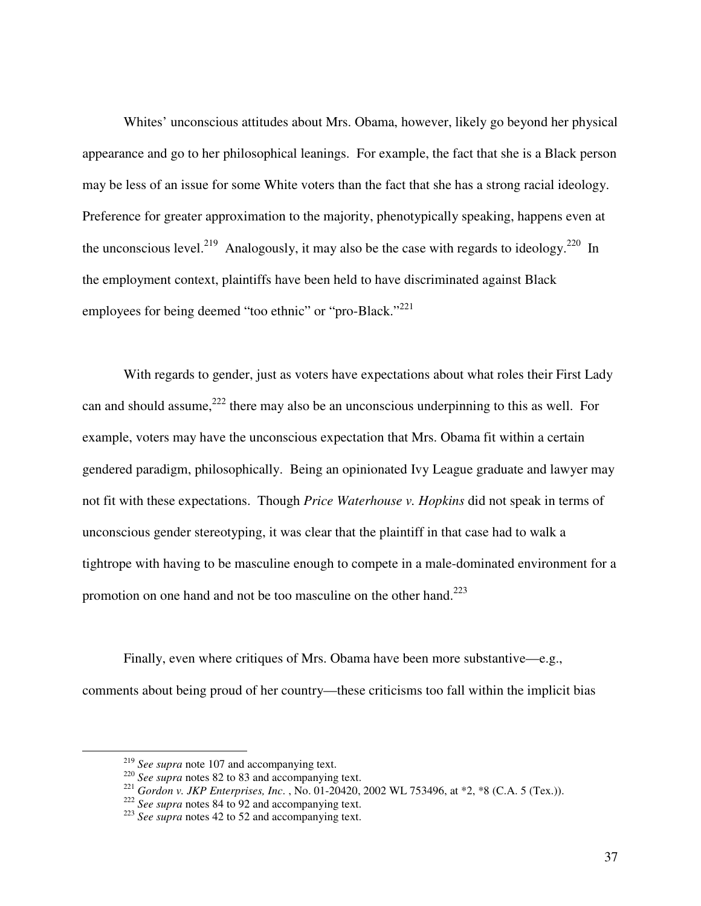Whites' unconscious attitudes about Mrs. Obama, however, likely go beyond her physical appearance and go to her philosophical leanings. For example, the fact that she is a Black person may be less of an issue for some White voters than the fact that she has a strong racial ideology. Preference for greater approximation to the majority, phenotypically speaking, happens even at the unconscious level.<sup>219</sup> Analogously, it may also be the case with regards to ideology.<sup>220</sup> In the employment context, plaintiffs have been held to have discriminated against Black employees for being deemed "too ethnic" or "pro-Black."<sup>221</sup>

With regards to gender, just as voters have expectations about what roles their First Lady can and should assume,  $222$  there may also be an unconscious underpinning to this as well. For example, voters may have the unconscious expectation that Mrs. Obama fit within a certain gendered paradigm, philosophically. Being an opinionated Ivy League graduate and lawyer may not fit with these expectations. Though *Price Waterhouse v. Hopkins* did not speak in terms of unconscious gender stereotyping, it was clear that the plaintiff in that case had to walk a tightrope with having to be masculine enough to compete in a male-dominated environment for a promotion on one hand and not be too masculine on the other hand.<sup>223</sup>

Finally, even where critiques of Mrs. Obama have been more substantive—e.g., comments about being proud of her country—these criticisms too fall within the implicit bias

<sup>219</sup> *See supra* note 107 and accompanying text.

<sup>&</sup>lt;sup>220</sup> *See supra* notes 82 to 83 and accompanying text.

<sup>221</sup> *Gordon v. JKP Enterprises, Inc*. , No. 01-20420, 2002 WL 753496, at \*2, \*8 (C.A. 5 (Tex.)).

<sup>222</sup> *See supra* notes 84 to 92 and accompanying text.

<sup>223</sup> *See supra* notes 42 to 52 and accompanying text.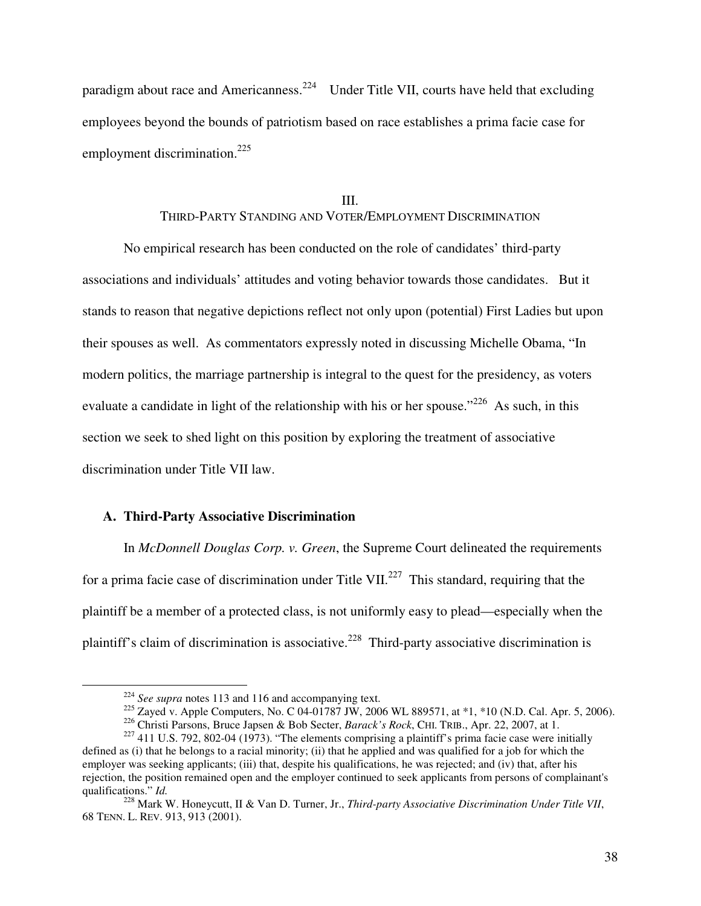paradigm about race and Americanness.<sup>224</sup> Under Title VII, courts have held that excluding employees beyond the bounds of patriotism based on race establishes a prima facie case for employment discrimination.<sup>225</sup>

#### III.

## THIRD-PARTY STANDING AND VOTER/EMPLOYMENT DISCRIMINATION

No empirical research has been conducted on the role of candidates' third-party associations and individuals' attitudes and voting behavior towards those candidates. But it stands to reason that negative depictions reflect not only upon (potential) First Ladies but upon their spouses as well. As commentators expressly noted in discussing Michelle Obama, "In modern politics, the marriage partnership is integral to the quest for the presidency, as voters evaluate a candidate in light of the relationship with his or her spouse."<sup>226</sup> As such, in this section we seek to shed light on this position by exploring the treatment of associative discrimination under Title VII law.

#### **A. Third-Party Associative Discrimination**

In *McDonnell Douglas Corp. v. Green*, the Supreme Court delineated the requirements for a prima facie case of discrimination under Title VII.<sup>227</sup> This standard, requiring that the plaintiff be a member of a protected class, is not uniformly easy to plead—especially when the plaintiff's claim of discrimination is associative.<sup>228</sup> Third-party associative discrimination is

<sup>&</sup>lt;sup>224</sup> See supra notes 113 and 116 and accompanying text.

<sup>&</sup>lt;sup>225</sup> Zaved v. Apple Computers, No. C 04-01787 JW, 2006 WL 889571, at  $*1$ ,  $*10$  (N.D. Cal. Apr. 5, 2006).

<sup>226</sup> Christi Parsons, Bruce Japsen & Bob Secter, *Barack's Rock*, CHI. TRIB., Apr. 22, 2007, at 1.

 $227$  411 U.S. 792, 802-04 (1973). "The elements comprising a plaintiff's prima facie case were initially defined as (i) that he belongs to a racial minority; (ii) that he applied and was qualified for a job for which the employer was seeking applicants; (iii) that, despite his qualifications, he was rejected; and (iv) that, after his rejection, the position remained open and the employer continued to seek applicants from persons of complainant's qualifications." *Id.*

<sup>228</sup> Mark W. Honeycutt, II & Van D. Turner, Jr., *Third-party Associative Discrimination Under Title VII*, 68 TENN. L. REV. 913, 913 (2001).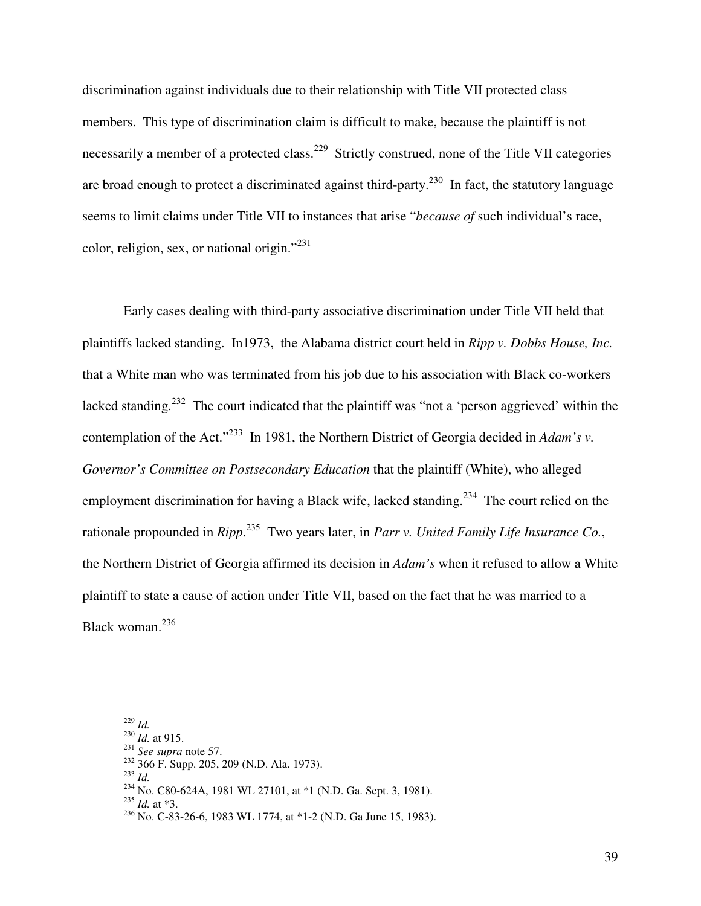discrimination against individuals due to their relationship with Title VII protected class members. This type of discrimination claim is difficult to make, because the plaintiff is not necessarily a member of a protected class.<sup>229</sup> Strictly construed, none of the Title VII categories are broad enough to protect a discriminated against third-party.<sup>230</sup> In fact, the statutory language seems to limit claims under Title VII to instances that arise "*because of* such individual's race, color, religion, sex, or national origin."<sup>231</sup>

 Early cases dealing with third-party associative discrimination under Title VII held that plaintiffs lacked standing. In1973, the Alabama district court held in *Ripp v. Dobbs House, Inc.* that a White man who was terminated from his job due to his association with Black co-workers lacked standing.<sup>232</sup> The court indicated that the plaintiff was "not a 'person aggrieved' within the contemplation of the Act."<sup>233</sup> In 1981, the Northern District of Georgia decided in *Adam's v. Governor's Committee on Postsecondary Education* that the plaintiff (White), who alleged employment discrimination for having a Black wife, lacked standing.<sup>234</sup> The court relied on the rationale propounded in *Ripp*. <sup>235</sup> Two years later, in *Parr v. United Family Life Insurance Co.*, the Northern District of Georgia affirmed its decision in *Adam's* when it refused to allow a White plaintiff to state a cause of action under Title VII, based on the fact that he was married to a Black woman.<sup>236</sup>

<sup>229</sup> *Id.*

<sup>230</sup> *Id.* at 915.

<sup>231</sup> *See supra* note 57.

<sup>232</sup> 366 F. Supp. 205, 209 (N.D. Ala. 1973).

<sup>233</sup> *Id.* 

<sup>234</sup> No. C80-624A, 1981 WL 27101, at \*1 (N.D. Ga. Sept. 3, 1981).

<sup>235</sup> *Id.* at \*3.

 $^{236}$  No. C-83-26-6, 1983 WL 1774, at \*1-2 (N.D. Ga June 15, 1983).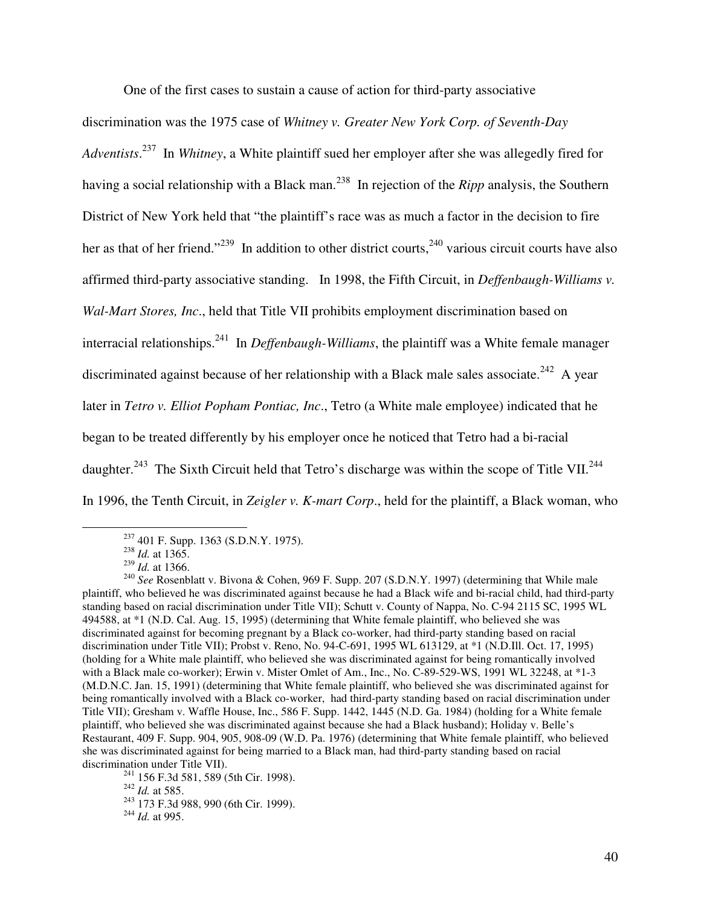One of the first cases to sustain a cause of action for third-party associative

discrimination was the 1975 case of *Whitney v. Greater New York Corp. of Seventh-Day Adventists*. <sup>237</sup> In *Whitney*, a White plaintiff sued her employer after she was allegedly fired for having a social relationship with a Black man.<sup>238</sup> In rejection of the *Ripp* analysis, the Southern District of New York held that "the plaintiff's race was as much a factor in the decision to fire her as that of her friend."<sup>239</sup> In addition to other district courts,<sup>240</sup> various circuit courts have also affirmed third-party associative standing. In 1998, the Fifth Circuit, in *Deffenbaugh-Williams v. Wal-Mart Stores, Inc*., held that Title VII prohibits employment discrimination based on interracial relationships.<sup>241</sup> In *Deffenbaugh-Williams*, the plaintiff was a White female manager discriminated against because of her relationship with a Black male sales associate.<sup>242</sup> A year later in *Tetro v. Elliot Popham Pontiac, Inc*., Tetro (a White male employee) indicated that he began to be treated differently by his employer once he noticed that Tetro had a bi-racial daughter.<sup>243</sup> The Sixth Circuit held that Tetro's discharge was within the scope of Title VII.<sup>244</sup> In 1996, the Tenth Circuit, in *Zeigler v. K-mart Corp*., held for the plaintiff, a Black woman, who

 $237$  401 F. Supp. 1363 (S.D.N.Y. 1975).

<sup>238</sup> *Id.* at 1365.

<sup>239</sup> *Id.* at 1366.

<sup>240</sup> *See* Rosenblatt v. Bivona & Cohen, 969 F. Supp. 207 (S.D.N.Y. 1997) (determining that While male plaintiff, who believed he was discriminated against because he had a Black wife and bi-racial child, had third-party standing based on racial discrimination under Title VII); Schutt v. County of Nappa, No. C-94 2115 SC, 1995 WL 494588, at \*1 (N.D. Cal. Aug. 15, 1995) (determining that White female plaintiff, who believed she was discriminated against for becoming pregnant by a Black co-worker, had third-party standing based on racial discrimination under Title VII); Probst v. Reno, No. 94-C-691, 1995 WL 613129, at \*1 (N.D.Ill. Oct. 17, 1995) (holding for a White male plaintiff, who believed she was discriminated against for being romantically involved with a Black male co-worker); Erwin v. Mister Omlet of Am., Inc., No. C-89-529-WS, 1991 WL 32248, at \*1-3 (M.D.N.C. Jan. 15, 1991) (determining that White female plaintiff, who believed she was discriminated against for being romantically involved with a Black co-worker, had third-party standing based on racial discrimination under Title VII); Gresham v. Waffle House, Inc., 586 F. Supp. 1442, 1445 (N.D. Ga. 1984) (holding for a White female plaintiff, who believed she was discriminated against because she had a Black husband); Holiday v. Belle's Restaurant, 409 F. Supp. 904, 905, 908-09 (W.D. Pa. 1976) (determining that White female plaintiff, who believed she was discriminated against for being married to a Black man, had third-party standing based on racial discrimination under Title VII).

 $241$  156 F.3d 581, 589 (5th Cir. 1998).

<sup>242</sup> *Id.* at 585.

<sup>243</sup> 173 F.3d 988, 990 (6th Cir. 1999).

<sup>244</sup> *Id.* at 995.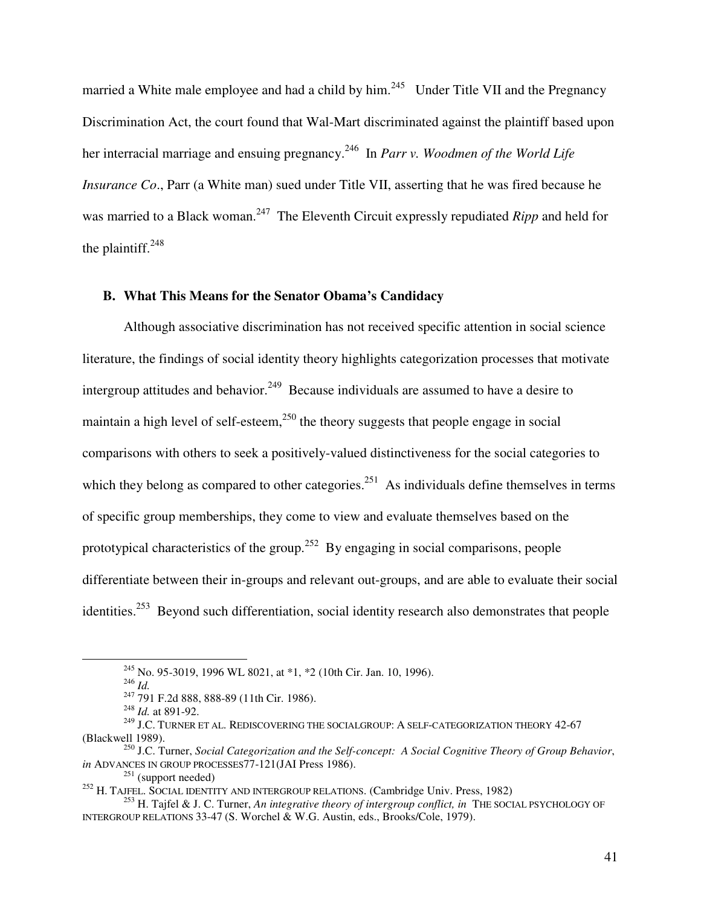married a White male employee and had a child by him.<sup>245</sup> Under Title VII and the Pregnancy Discrimination Act, the court found that Wal-Mart discriminated against the plaintiff based upon her interracial marriage and ensuing pregnancy.<sup>246</sup> In *Parr v. Woodmen of the World Life Insurance Co*., Parr (a White man) sued under Title VII, asserting that he was fired because he was married to a Black woman.<sup>247</sup> The Eleventh Circuit expressly repudiated *Ripp* and held for the plaintiff. $248$ 

## **B. What This Means for the Senator Obama's Candidacy**

Although associative discrimination has not received specific attention in social science literature, the findings of social identity theory highlights categorization processes that motivate intergroup attitudes and behavior.<sup>249</sup> Because individuals are assumed to have a desire to maintain a high level of self-esteem,  $250$  the theory suggests that people engage in social comparisons with others to seek a positively-valued distinctiveness for the social categories to which they belong as compared to other categories.<sup>251</sup> As individuals define themselves in terms of specific group memberships, they come to view and evaluate themselves based on the prototypical characteristics of the group.<sup>252</sup> By engaging in social comparisons, people differentiate between their in-groups and relevant out-groups, and are able to evaluate their social identities.<sup>253</sup> Beyond such differentiation, social identity research also demonstrates that people

<sup>245</sup> No. 95-3019, 1996 WL 8021, at \*1, \*2 (10th Cir. Jan. 10, 1996).

<sup>246</sup> *Id.* 

<sup>247</sup> 791 F.2d 888, 888-89 (11th Cir. 1986).

<sup>248</sup> *Id.* at 891-92.

<sup>&</sup>lt;sup>249</sup> J.C. TURNER ET AL. REDISCOVERING THE SOCIALGROUP: A SELF-CATEGORIZATION THEORY 42-67 (Blackwell 1989).

<sup>250</sup> J.C. Turner, *Social Categorization and the Self-concept: A Social Cognitive Theory of Group Behavior*, *in* ADVANCES IN GROUP PROCESSES77-121(JAI Press 1986).

 $^{251}$  (support needed)

<sup>252</sup> H. TAJFEL. SOCIAL IDENTITY AND INTERGROUP RELATIONS. (Cambridge Univ. Press, 1982)

<sup>&</sup>lt;sup>253</sup> H. Tajfel & J. C. Turner, *An integrative theory of intergroup conflict, in* THE SOCIAL PSYCHOLOGY OF INTERGROUP RELATIONS 33-47 (S. Worchel & W.G. Austin, eds., Brooks/Cole, 1979).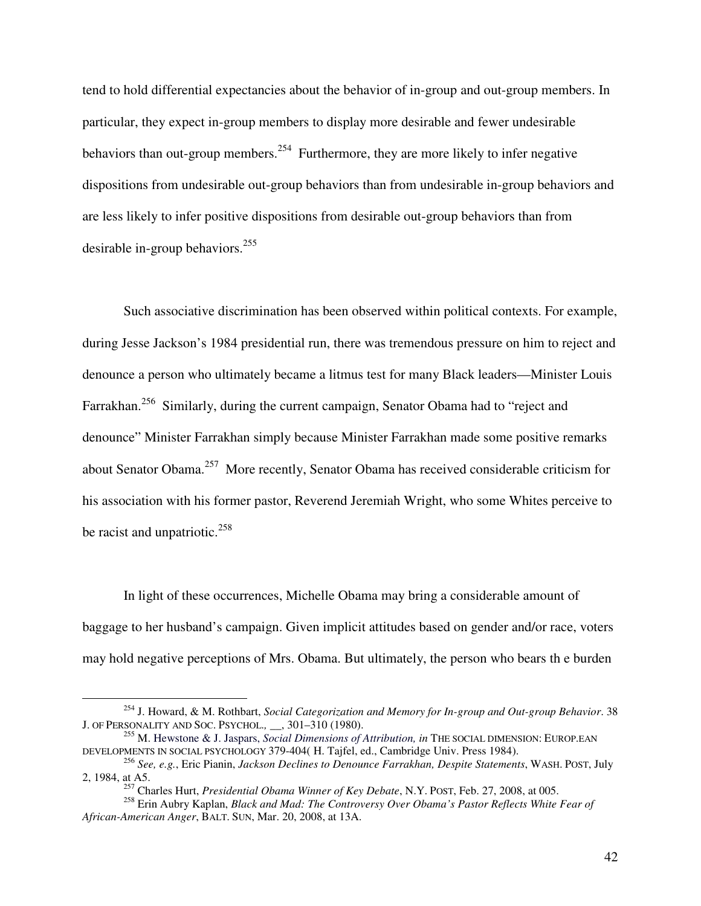tend to hold differential expectancies about the behavior of in-group and out-group members. In particular, they expect in-group members to display more desirable and fewer undesirable behaviors than out-group members.<sup>254</sup> Furthermore, they are more likely to infer negative dispositions from undesirable out-group behaviors than from undesirable in-group behaviors and are less likely to infer positive dispositions from desirable out-group behaviors than from desirable in-group behaviors.  $255$ 

Such associative discrimination has been observed within political contexts. For example, during Jesse Jackson's 1984 presidential run, there was tremendous pressure on him to reject and denounce a person who ultimately became a litmus test for many Black leaders—Minister Louis Farrakhan.<sup>256</sup> Similarly, during the current campaign, Senator Obama had to "reject and denounce" Minister Farrakhan simply because Minister Farrakhan made some positive remarks about Senator Obama.<sup>257</sup> More recently, Senator Obama has received considerable criticism for his association with his former pastor, Reverend Jeremiah Wright, who some Whites perceive to be racist and unpatriotic. $^{258}$ 

In light of these occurrences, Michelle Obama may bring a considerable amount of baggage to her husband's campaign. Given implicit attitudes based on gender and/or race, voters may hold negative perceptions of Mrs. Obama. But ultimately, the person who bears th e burden

<sup>254</sup> J. Howard, & M. Rothbart, *Social Categorization and Memory for In-group and Out-group Behavior*. 38 J. OF PERSONALITY AND SOC. PSYCHOL.*,* \_\_, 301–310 (1980).

<sup>255</sup> M. Hewstone & J. Jaspars, *Social Dimensions of Attribution, in* THE SOCIAL DIMENSION: EUROP.EAN DEVELOPMENTS IN SOCIAL PSYCHOLOGY 379-404( H. Tajfel, ed., Cambridge Univ. Press 1984).

<sup>256</sup> *See, e.g.*, Eric Pianin, *Jackson Declines to Denounce Farrakhan, Despite Statements*, WASH. POST, July 2, 1984, at A5.

<sup>257</sup> Charles Hurt, *Presidential Obama Winner of Key Debate*, N.Y. POST, Feb. 27, 2008, at 005.

<sup>258</sup> Erin Aubry Kaplan, *Black and Mad: The Controversy Over Obama's Pastor Reflects White Fear of African-American Anger*, BALT. SUN, Mar. 20, 2008, at 13A.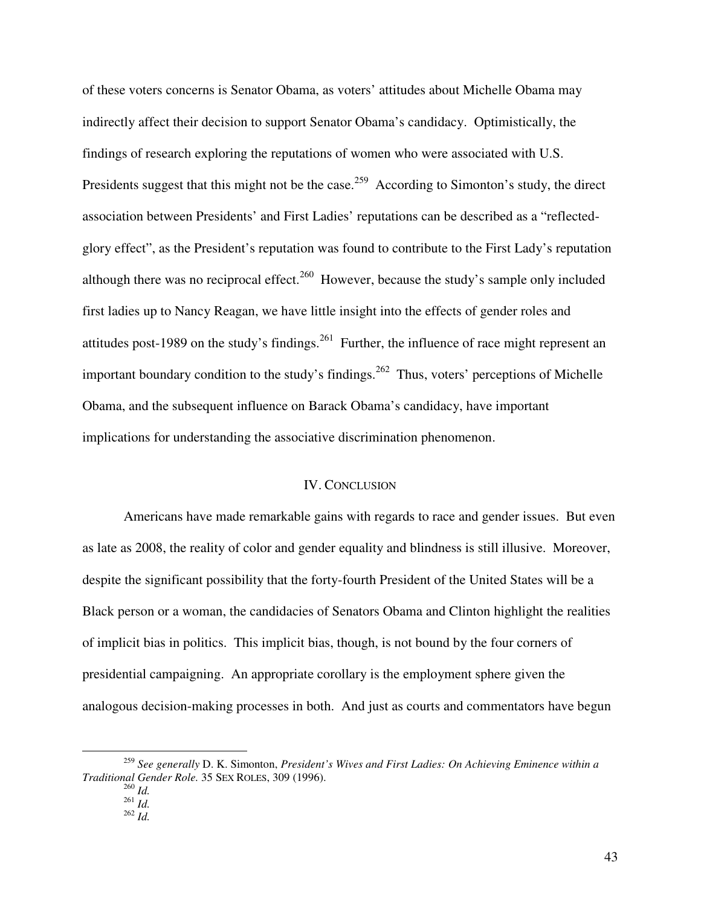of these voters concerns is Senator Obama, as voters' attitudes about Michelle Obama may indirectly affect their decision to support Senator Obama's candidacy. Optimistically, the findings of research exploring the reputations of women who were associated with U.S. Presidents suggest that this might not be the case.<sup>259</sup> According to Simonton's study, the direct association between Presidents' and First Ladies' reputations can be described as a "reflectedglory effect", as the President's reputation was found to contribute to the First Lady's reputation although there was no reciprocal effect.<sup>260</sup> However, because the study's sample only included first ladies up to Nancy Reagan, we have little insight into the effects of gender roles and attitudes post-1989 on the study's findings.<sup>261</sup> Further, the influence of race might represent an important boundary condition to the study's findings.<sup>262</sup> Thus, voters' perceptions of Michelle Obama, and the subsequent influence on Barack Obama's candidacy, have important implications for understanding the associative discrimination phenomenon.

## IV. CONCLUSION

 Americans have made remarkable gains with regards to race and gender issues. But even as late as 2008, the reality of color and gender equality and blindness is still illusive. Moreover, despite the significant possibility that the forty-fourth President of the United States will be a Black person or a woman, the candidacies of Senators Obama and Clinton highlight the realities of implicit bias in politics. This implicit bias, though, is not bound by the four corners of presidential campaigning. An appropriate corollary is the employment sphere given the analogous decision-making processes in both. And just as courts and commentators have begun

<sup>259</sup> *See generally* D. K. Simonton, *President's Wives and First Ladies: On Achieving Eminence within a Traditional Gender Role.* 35 SEX ROLES, 309 (1996).

<sup>260</sup> *Id.*  $^{261}$  *Id.* 

<sup>262</sup> *Id.*